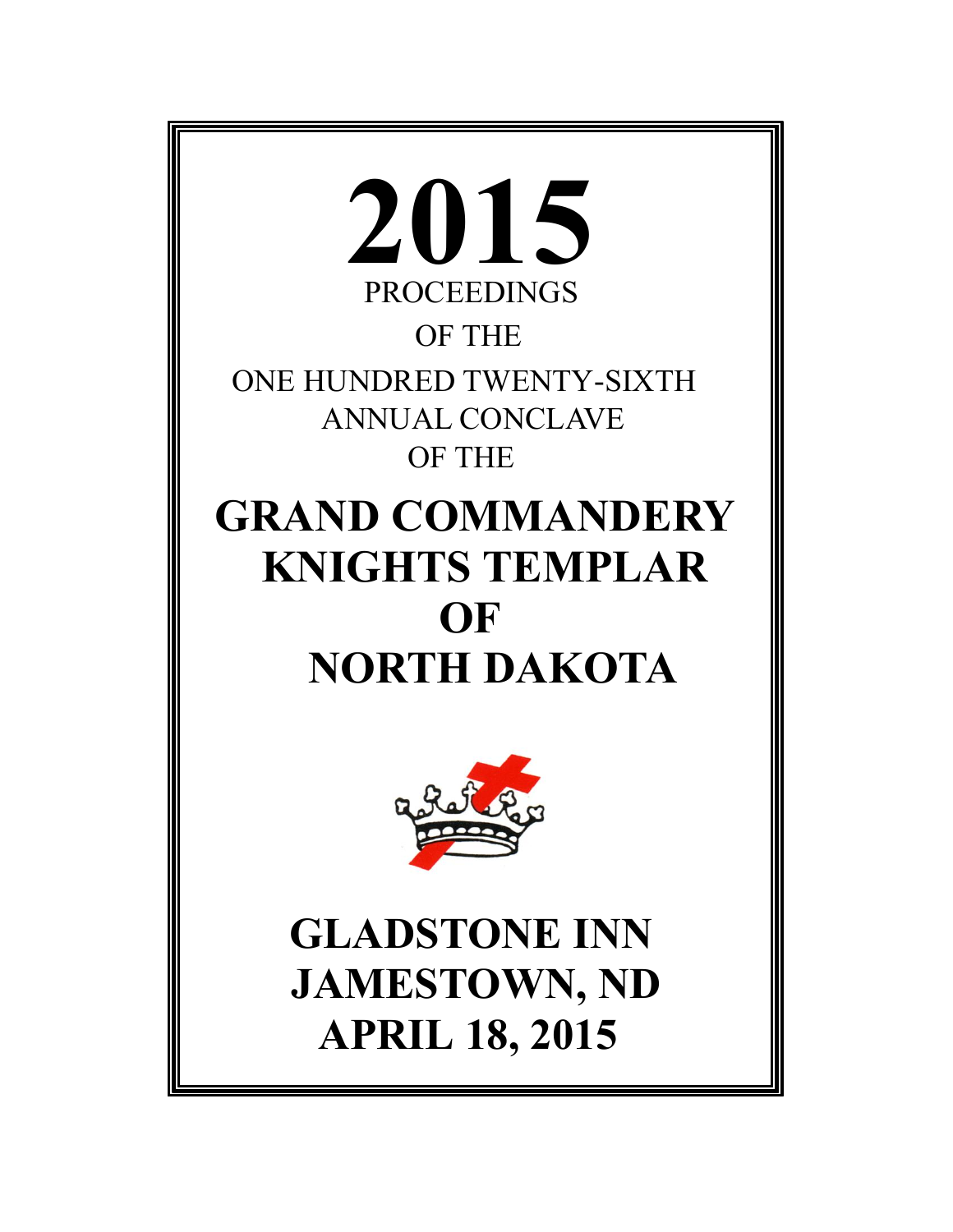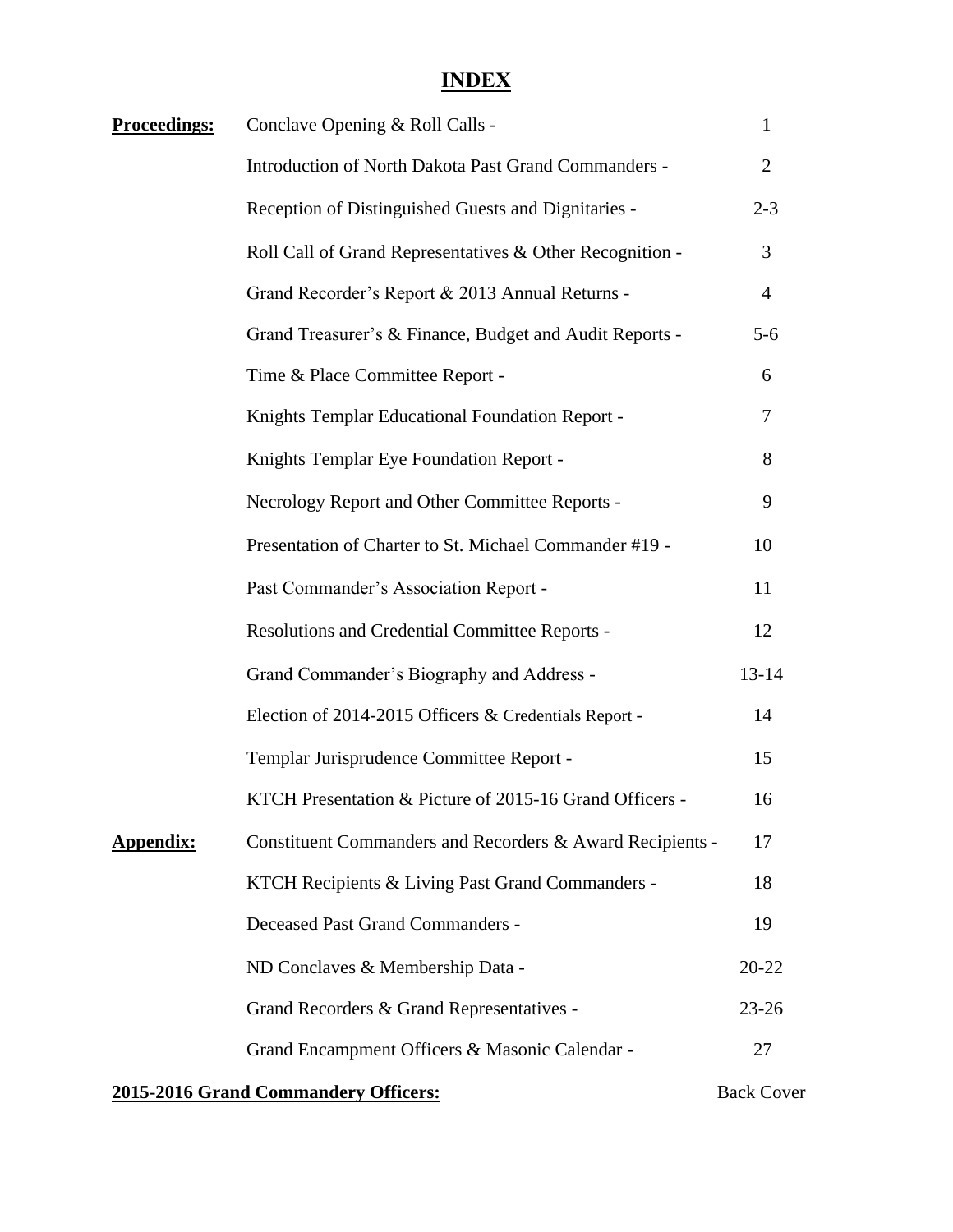# **INDEX**

| <b>Proceedings:</b> | Conclave Opening & Roll Calls -                             | $\mathbf{1}$   |
|---------------------|-------------------------------------------------------------|----------------|
|                     | <b>Introduction of North Dakota Past Grand Commanders -</b> | $\overline{2}$ |
|                     | Reception of Distinguished Guests and Dignitaries -         | $2 - 3$        |
|                     | Roll Call of Grand Representatives & Other Recognition -    | 3              |
|                     | Grand Recorder's Report & 2013 Annual Returns -             | $\overline{4}$ |
|                     | Grand Treasurer's & Finance, Budget and Audit Reports -     | $5 - 6$        |
|                     | Time & Place Committee Report -                             | 6              |
|                     | Knights Templar Educational Foundation Report -             | 7              |
|                     | Knights Templar Eye Foundation Report -                     | 8              |
|                     | Necrology Report and Other Committee Reports -              | 9              |
|                     | Presentation of Charter to St. Michael Commander #19 -      | 10             |
|                     | Past Commander's Association Report -                       | 11             |
|                     | Resolutions and Credential Committee Reports -              | 12             |
|                     | Grand Commander's Biography and Address -                   | $13 - 14$      |
|                     | Election of 2014-2015 Officers & Credentials Report -       | 14             |
|                     | Templar Jurisprudence Committee Report -                    | 15             |
|                     | KTCH Presentation & Picture of 2015-16 Grand Officers -     | 16             |
| <b>Appendix:</b>    | Constituent Commanders and Recorders & Award Recipients -   | 17             |
|                     | KTCH Recipients & Living Past Grand Commanders -            | 18             |
|                     | <b>Deceased Past Grand Commanders -</b>                     | 19             |
|                     | ND Conclaves & Membership Data -                            | $20 - 22$      |
|                     | Grand Recorders & Grand Representatives -                   | $23 - 26$      |
|                     | Grand Encampment Officers & Masonic Calendar -              | 27             |
|                     |                                                             |                |

## **2015-2016 Grand Commandery Officers:** Back Cover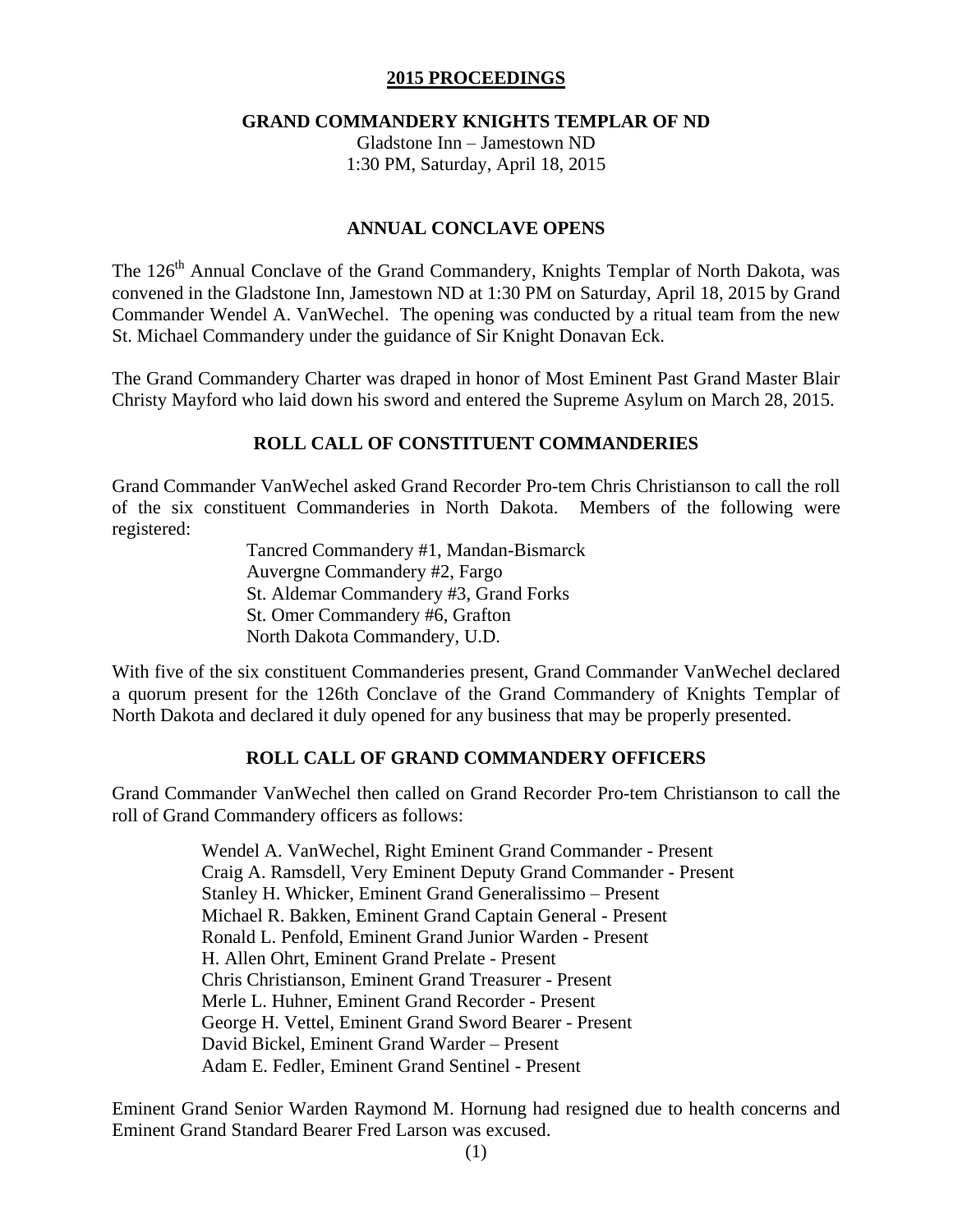## **2015 PROCEEDINGS**

## **GRAND COMMANDERY KNIGHTS TEMPLAR OF ND**

Gladstone Inn – Jamestown ND 1:30 PM, Saturday, April 18, 2015

## **ANNUAL CONCLAVE OPENS**

The 126<sup>th</sup> Annual Conclave of the Grand Commandery, Knights Templar of North Dakota, was convened in the Gladstone Inn, Jamestown ND at 1:30 PM on Saturday, April 18, 2015 by Grand Commander Wendel A. VanWechel. The opening was conducted by a ritual team from the new St. Michael Commandery under the guidance of Sir Knight Donavan Eck.

The Grand Commandery Charter was draped in honor of Most Eminent Past Grand Master Blair Christy Mayford who laid down his sword and entered the Supreme Asylum on March 28, 2015.

## **ROLL CALL OF CONSTITUENT COMMANDERIES**

Grand Commander VanWechel asked Grand Recorder Pro-tem Chris Christianson to call the roll of the six constituent Commanderies in North Dakota. Members of the following were registered:

> Tancred Commandery #1, Mandan-Bismarck Auvergne Commandery #2, Fargo St. Aldemar Commandery #3, Grand Forks St. Omer Commandery #6, Grafton North Dakota Commandery, U.D.

With five of the six constituent Commanderies present, Grand Commander VanWechel declared a quorum present for the 126th Conclave of the Grand Commandery of Knights Templar of North Dakota and declared it duly opened for any business that may be properly presented.

# **ROLL CALL OF GRAND COMMANDERY OFFICERS**

Grand Commander VanWechel then called on Grand Recorder Pro-tem Christianson to call the roll of Grand Commandery officers as follows:

> Wendel A. VanWechel, Right Eminent Grand Commander - Present Craig A. Ramsdell, Very Eminent Deputy Grand Commander - Present Stanley H. Whicker, Eminent Grand Generalissimo – Present Michael R. Bakken, Eminent Grand Captain General - Present Ronald L. Penfold, Eminent Grand Junior Warden - Present H. Allen Ohrt, Eminent Grand Prelate - Present Chris Christianson, Eminent Grand Treasurer - Present Merle L. Huhner, Eminent Grand Recorder - Present George H. Vettel, Eminent Grand Sword Bearer - Present David Bickel, Eminent Grand Warder – Present Adam E. Fedler, Eminent Grand Sentinel - Present

Eminent Grand Senior Warden Raymond M. Hornung had resigned due to health concerns and Eminent Grand Standard Bearer Fred Larson was excused.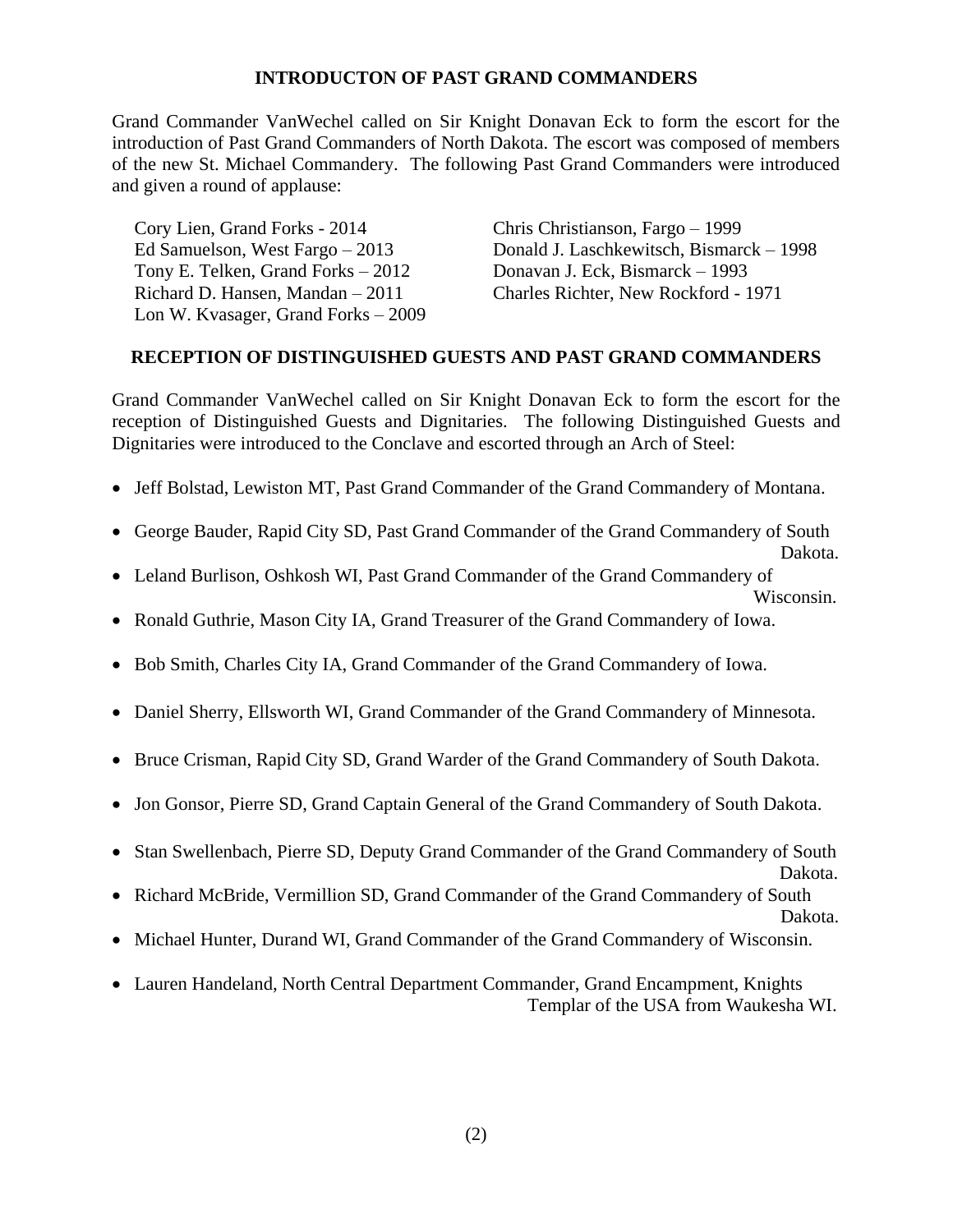## **INTRODUCTON OF PAST GRAND COMMANDERS**

Grand Commander VanWechel called on Sir Knight Donavan Eck to form the escort for the introduction of Past Grand Commanders of North Dakota. The escort was composed of members of the new St. Michael Commandery. The following Past Grand Commanders were introduced and given a round of applause:

Cory Lien, Grand Forks - 2014 Chris Christianson, Fargo – 1999 Tony E. Telken, Grand Forks – 2012 Donavan J. Eck, Bismarck – 1993 Lon W. Kvasager, Grand Forks – 2009

Ed Samuelson, West Fargo – 2013 Donald J. Laschkewitsch, Bismarck – 1998 Richard D. Hansen, Mandan – 2011 Charles Richter, New Rockford - 1971

## **RECEPTION OF DISTINGUISHED GUESTS AND PAST GRAND COMMANDERS**

Grand Commander VanWechel called on Sir Knight Donavan Eck to form the escort for the reception of Distinguished Guests and Dignitaries. The following Distinguished Guests and Dignitaries were introduced to the Conclave and escorted through an Arch of Steel:

- Jeff Bolstad, Lewiston MT, Past Grand Commander of the Grand Commandery of Montana.
- George Bauder, Rapid City SD, Past Grand Commander of the Grand Commandery of South Dakota.
- Leland Burlison, Oshkosh WI, Past Grand Commander of the Grand Commandery of
	- Wisconsin.
- Ronald Guthrie, Mason City IA, Grand Treasurer of the Grand Commandery of Iowa.
- Bob Smith, Charles City IA, Grand Commander of the Grand Commandery of Iowa.
- Daniel Sherry, Ellsworth WI, Grand Commander of the Grand Commandery of Minnesota.
- Bruce Crisman, Rapid City SD, Grand Warder of the Grand Commandery of South Dakota.
- Jon Gonsor, Pierre SD, Grand Captain General of the Grand Commandery of South Dakota.
- Stan Swellenbach, Pierre SD, Deputy Grand Commander of the Grand Commandery of South
- Dakota. Richard McBride, Vermillion SD, Grand Commander of the Grand Commandery of South
- Dakota.
- Michael Hunter, Durand WI, Grand Commander of the Grand Commandery of Wisconsin.
- Lauren Handeland, North Central Department Commander, Grand Encampment, Knights Templar of the USA from Waukesha WI.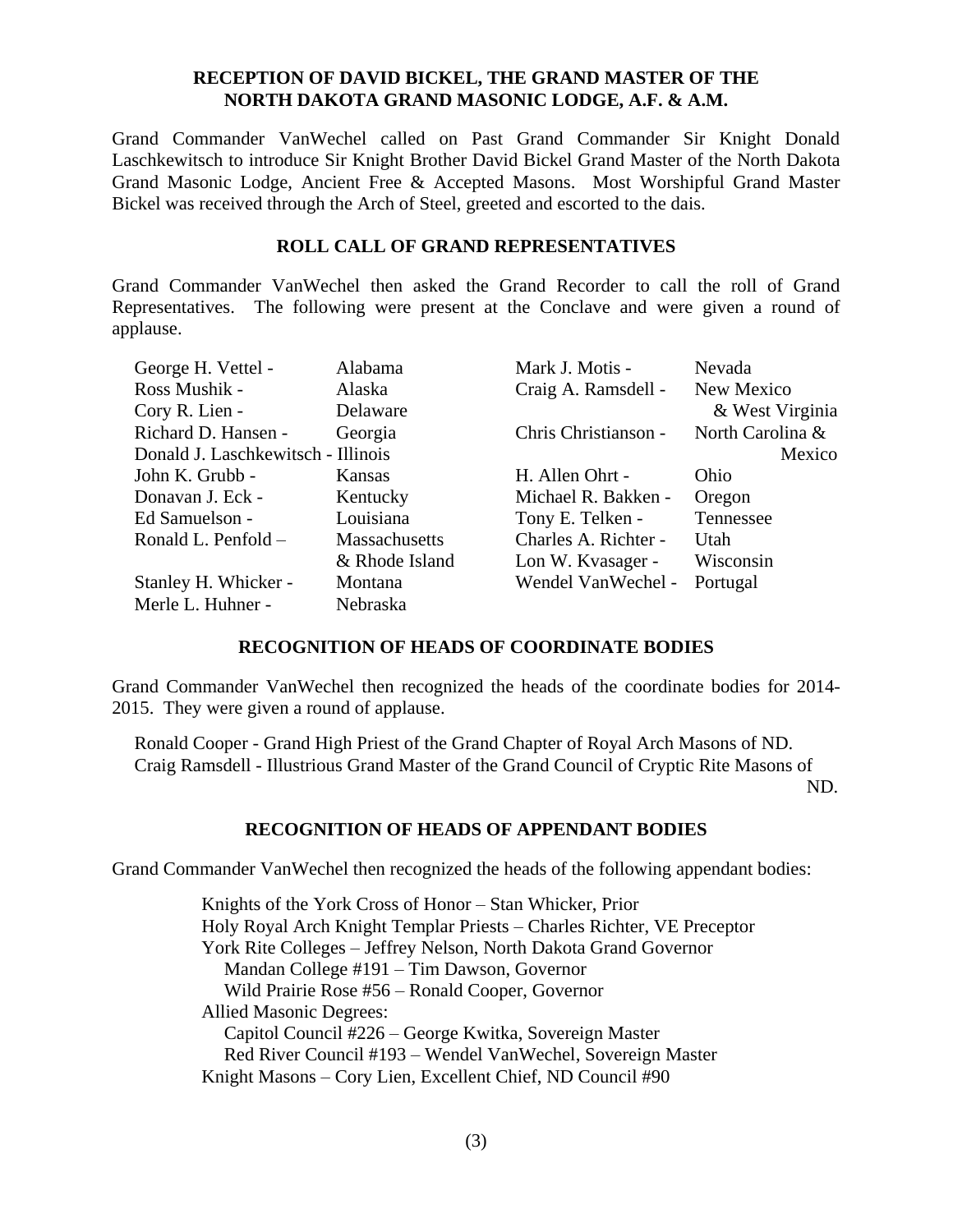## **RECEPTION OF DAVID BICKEL, THE GRAND MASTER OF THE NORTH DAKOTA GRAND MASONIC LODGE, A.F. & A.M.**

Grand Commander VanWechel called on Past Grand Commander Sir Knight Donald Laschkewitsch to introduce Sir Knight Brother David Bickel Grand Master of the North Dakota Grand Masonic Lodge, Ancient Free & Accepted Masons. Most Worshipful Grand Master Bickel was received through the Arch of Steel, greeted and escorted to the dais.

## **ROLL CALL OF GRAND REPRESENTATIVES**

Grand Commander VanWechel then asked the Grand Recorder to call the roll of Grand Representatives. The following were present at the Conclave and were given a round of applause.

| George H. Vettel -                 | Alabama        | Mark J. Motis -      | Nevada           |
|------------------------------------|----------------|----------------------|------------------|
| Ross Mushik -                      | Alaska         | Craig A. Ramsdell -  | New Mexico       |
| Cory R. Lien -                     | Delaware       |                      | & West Virginia  |
| Richard D. Hansen -                | Georgia        | Chris Christianson - | North Carolina & |
| Donald J. Laschkewitsch - Illinois |                |                      | Mexico           |
| John K. Grubb -                    | Kansas         | H. Allen Ohrt -      | Ohio             |
| Donavan J. Eck -                   | Kentucky       | Michael R. Bakken -  | Oregon           |
| Ed Samuelson -                     | Louisiana      | Tony E. Telken -     | Tennessee        |
| Ronald L. Penfold –                | Massachusetts  | Charles A. Richter - | Utah             |
|                                    | & Rhode Island | Lon W. Kvasager -    | Wisconsin        |
| Stanley H. Whicker -               | Montana        | Wendel VanWechel -   | Portugal         |
| Merle L. Huhner -                  | Nebraska       |                      |                  |

## **RECOGNITION OF HEADS OF COORDINATE BODIES**

Grand Commander VanWechel then recognized the heads of the coordinate bodies for 2014- 2015. They were given a round of applause.

Ronald Cooper - Grand High Priest of the Grand Chapter of Royal Arch Masons of ND. Craig Ramsdell - Illustrious Grand Master of the Grand Council of Cryptic Rite Masons of ND.

# **RECOGNITION OF HEADS OF APPENDANT BODIES**

Grand Commander VanWechel then recognized the heads of the following appendant bodies:

Knights of the York Cross of Honor – Stan Whicker, Prior Holy Royal Arch Knight Templar Priests – Charles Richter, VE Preceptor York Rite Colleges – Jeffrey Nelson, North Dakota Grand Governor Mandan College #191 – Tim Dawson, Governor Wild Prairie Rose #56 – Ronald Cooper, Governor Allied Masonic Degrees: Capitol Council #226 – George Kwitka, Sovereign Master Red River Council #193 – Wendel VanWechel, Sovereign Master Knight Masons – Cory Lien, Excellent Chief, ND Council #90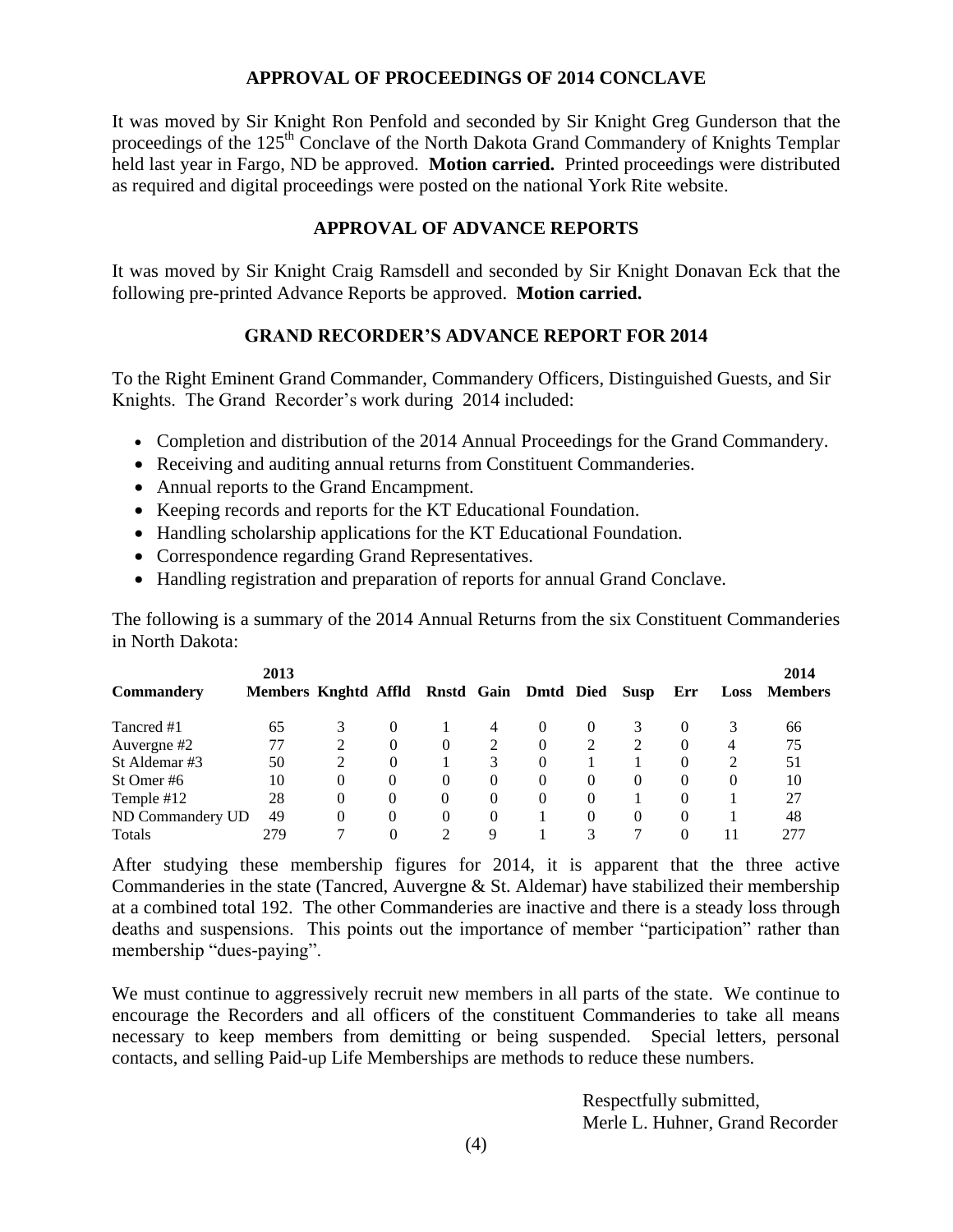## **APPROVAL OF PROCEEDINGS OF 2014 CONCLAVE**

It was moved by Sir Knight Ron Penfold and seconded by Sir Knight Greg Gunderson that the proceedings of the 125<sup>th</sup> Conclave of the North Dakota Grand Commandery of Knights Templar held last year in Fargo, ND be approved. **Motion carried.** Printed proceedings were distributed as required and digital proceedings were posted on the national York Rite website.

## **APPROVAL OF ADVANCE REPORTS**

It was moved by Sir Knight Craig Ramsdell and seconded by Sir Knight Donavan Eck that the following pre-printed Advance Reports be approved. **Motion carried.**

# **GRAND RECORDER'S ADVANCE REPORT FOR 2014**

To the Right Eminent Grand Commander, Commandery Officers, Distinguished Guests, and Sir Knights. The Grand Recorder's work during 2014 included:

- Completion and distribution of the 2014 Annual Proceedings for the Grand Commandery.
- Receiving and auditing annual returns from Constituent Commanderies.
- Annual reports to the Grand Encampment.
- Keeping records and reports for the KT Educational Foundation.
- Handling scholarship applications for the KT Educational Foundation.
- Correspondence regarding Grand Representatives.
- Handling registration and preparation of reports for annual Grand Conclave.

The following is a summary of the 2014 Annual Returns from the six Constituent Commanderies in North Dakota:

| Commandery       | 2013<br>Members Knghtd Affld Rnstd Gain Dmtd Died Susp |          |          |          |          |          |          |          | Err      | Loss | 2014<br><b>Members</b> |
|------------------|--------------------------------------------------------|----------|----------|----------|----------|----------|----------|----------|----------|------|------------------------|
| Tancred #1       | 65                                                     | 3        | $\theta$ |          | 4        | $\theta$ | $\theta$ |          | $\Omega$ | 3    | 66                     |
| Auvergne #2      | 77                                                     |          | $\theta$ | $\theta$ |          | $\theta$ |          |          | $\theta$ | 4    | 75                     |
| St Aldemar#3     | 50                                                     | 2        | 0        |          | 3        | 0        |          |          | 0        | 2    | 51                     |
| St Omer#6        | 10                                                     | $\Omega$ | $\Omega$ | 0        | $\Omega$ | $\Omega$ | $\Omega$ | $\theta$ | 0        | 0    | 10                     |
| Temple #12       | 28                                                     | $\Omega$ | $\Omega$ | 0        | $\Omega$ | $\Omega$ | $\Omega$ |          | 0        |      | 27                     |
| ND Commandery UD | 49                                                     | 0        | $\Omega$ | $\Omega$ | $\Omega$ |          | $\Omega$ | $\theta$ | 0        |      | 48                     |
| Totals           | 279                                                    |          |          |          | 9        |          | 3        |          | 0        | 11   | 277                    |

After studying these membership figures for 2014, it is apparent that the three active Commanderies in the state (Tancred, Auvergne & St. Aldemar) have stabilized their membership at a combined total 192. The other Commanderies are inactive and there is a steady loss through deaths and suspensions. This points out the importance of member "participation" rather than membership "dues-paying".

We must continue to aggressively recruit new members in all parts of the state. We continue to encourage the Recorders and all officers of the constituent Commanderies to take all means necessary to keep members from demitting or being suspended. Special letters, personal contacts, and selling Paid-up Life Memberships are methods to reduce these numbers.

> Respectfully submitted, Merle L. Huhner, Grand Recorder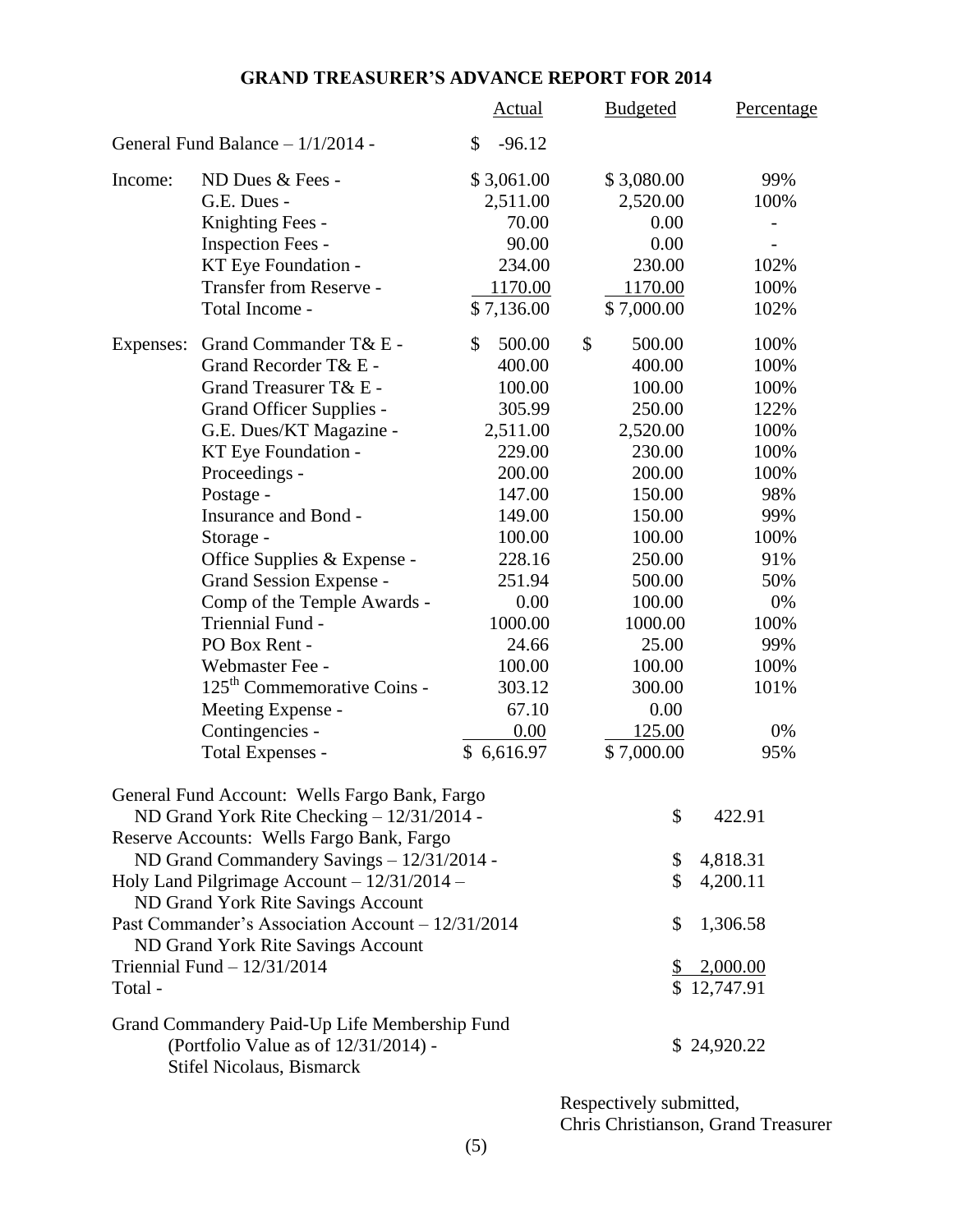# **GRAND TREASURER'S ADVANCE REPORT FOR 2014**

|                             |                                                                                         | <b>Actual</b>  | <b>Budgeted</b> |         | Percentage  |
|-----------------------------|-----------------------------------------------------------------------------------------|----------------|-----------------|---------|-------------|
|                             | General Fund Balance - 1/1/2014 -                                                       | $-96.12$<br>\$ |                 |         |             |
| ND Dues & Fees -<br>Income: |                                                                                         | \$3,061.00     | \$3,080.00      |         | 99%         |
|                             | G.E. Dues -                                                                             | 2,511.00       | 2,520.00        |         | 100%        |
|                             | Knighting Fees -                                                                        | 70.00          |                 | 0.00    |             |
|                             | Inspection Fees -                                                                       | 90.00          |                 | 0.00    |             |
|                             | KT Eye Foundation -                                                                     | 234.00         |                 | 230.00  | 102%        |
|                             | Transfer from Reserve -                                                                 | 1170.00        | 1170.00         |         | 100%        |
|                             | Total Income -                                                                          | \$7,136.00     | \$7,000.00      |         | 102%        |
| Expenses:                   | Grand Commander T& E -                                                                  | 500.00<br>\$   | \$              | 500.00  | 100%        |
|                             | Grand Recorder T& E -                                                                   | 400.00         |                 | 400.00  | 100%        |
|                             | Grand Treasurer T& E -                                                                  | 100.00         |                 | 100.00  | 100%        |
|                             | <b>Grand Officer Supplies -</b>                                                         | 305.99         |                 | 250.00  | 122%        |
|                             | G.E. Dues/KT Magazine -                                                                 | 2,511.00       | 2,520.00        |         | 100%        |
|                             | KT Eye Foundation -                                                                     | 229.00         |                 | 230.00  | 100%        |
|                             | Proceedings -                                                                           | 200.00         |                 | 200.00  | 100%        |
|                             | Postage -                                                                               | 147.00         |                 | 150.00  | 98%         |
|                             | Insurance and Bond -                                                                    | 149.00         |                 | 150.00  | 99%         |
|                             | Storage -                                                                               | 100.00         |                 | 100.00  | 100%        |
|                             | Office Supplies & Expense -                                                             | 228.16         |                 | 250.00  | 91%         |
|                             | Grand Session Expense -                                                                 | 251.94         |                 | 500.00  | 50%         |
|                             | Comp of the Temple Awards -                                                             | 0.00           |                 | 100.00  | 0%          |
|                             | Triennial Fund -                                                                        | 1000.00        |                 | 1000.00 | 100%        |
|                             | PO Box Rent -                                                                           | 24.66          |                 | 25.00   | 99%         |
|                             | Webmaster Fee -                                                                         | 100.00         |                 | 100.00  | 100%        |
|                             | 125 <sup>th</sup> Commemorative Coins -                                                 | 303.12         |                 | 300.00  | 101%        |
|                             | Meeting Expense -                                                                       | 67.10          |                 | 0.00    |             |
|                             | Contingencies -                                                                         | 0.00           |                 | 125.00  | 0%          |
|                             | <b>Total Expenses -</b>                                                                 | \$6,616.97     | \$7,000.00      |         | 95%         |
|                             | General Fund Account: Wells Fargo Bank, Fargo                                           |                |                 |         |             |
|                             | ND Grand York Rite Checking - 12/31/2014 -                                              |                |                 | \$      | 422.91      |
|                             | Reserve Accounts: Wells Fargo Bank, Fargo                                               |                |                 |         |             |
|                             | ND Grand Commandery Savings - 12/31/2014 -                                              |                |                 | \$      | 4,818.31    |
|                             | Holy Land Pilgrimage Account $-12/31/2014 -$<br>ND Grand York Rite Savings Account      |                |                 | \$      | 4,200.11    |
|                             | Past Commander's Association Account - 12/31/2014<br>ND Grand York Rite Savings Account |                |                 | \$      | 1,306.58    |
|                             | Triennial Fund $-12/31/2014$                                                            |                |                 |         | 2,000.00    |
| Total -                     |                                                                                         |                |                 |         | \$12,747.91 |
|                             | Grand Commandery Paid-Up Life Membership Fund<br>(Portfolio Value as of 12/31/2014) -   |                |                 |         | \$24,920.22 |
|                             | <b>Stifel Nicolaus, Bismarck</b>                                                        |                |                 |         |             |

Respectively submitted, Chris Christianson, Grand Treasurer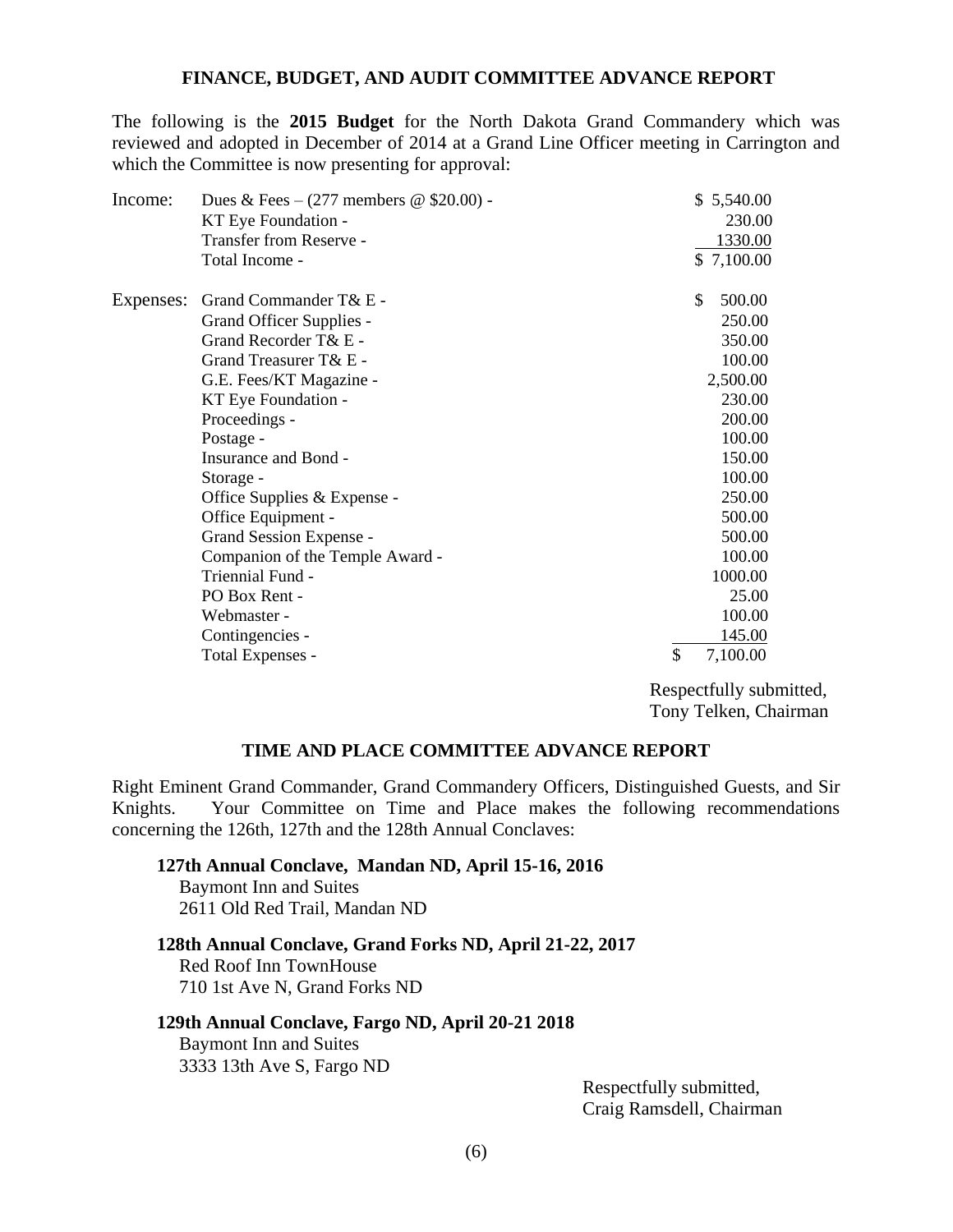## **FINANCE, BUDGET, AND AUDIT COMMITTEE ADVANCE REPORT**

The following is the **2015 Budget** for the North Dakota Grand Commandery which was reviewed and adopted in December of 2014 at a Grand Line Officer meeting in Carrington and which the Committee is now presenting for approval:

| Dues & Fees $- (277$ members @ \$20.00) - | \$5,540.00                                                     |
|-------------------------------------------|----------------------------------------------------------------|
| KT Eye Foundation -                       | 230.00                                                         |
| Transfer from Reserve -                   | 1330.00                                                        |
| Total Income -                            | \$7,100.00                                                     |
| Grand Commander T& E -                    | \$<br>500.00                                                   |
| Grand Officer Supplies -                  | 250.00                                                         |
| Grand Recorder T& E -                     | 350.00                                                         |
| Grand Treasurer T& E -                    | 100.00                                                         |
| G.E. Fees/KT Magazine -                   | 2,500.00                                                       |
| KT Eye Foundation -                       | 230.00                                                         |
| Proceedings -                             | 200.00                                                         |
| Postage -                                 | 100.00                                                         |
| Insurance and Bond -                      | 150.00                                                         |
| Storage -                                 | 100.00                                                         |
|                                           | 250.00                                                         |
| Office Equipment -                        | 500.00                                                         |
| Grand Session Expense -                   | 500.00                                                         |
|                                           | 100.00                                                         |
| Triennial Fund -                          | 1000.00                                                        |
| PO Box Rent -                             | 25.00                                                          |
| Webmaster -                               | 100.00                                                         |
| Contingencies -                           | 145.00                                                         |
| Total Expenses -                          | \$<br>7,100.00                                                 |
|                                           | Office Supplies & Expense -<br>Companion of the Temple Award - |

Respectfully submitted, Tony Telken, Chairman

## **TIME AND PLACE COMMITTEE ADVANCE REPORT**

Right Eminent Grand Commander, Grand Commandery Officers, Distinguished Guests, and Sir Knights. Your Committee on Time and Place makes the following recommendations concerning the 126th, 127th and the 128th Annual Conclaves:

## **127th Annual Conclave, Mandan ND, April 15-16, 2016** Baymont Inn and Suites 2611 Old Red Trail, Mandan ND

## **128th Annual Conclave, Grand Forks ND, April 21-22, 2017** Red Roof Inn TownHouse

710 1st Ave N, Grand Forks ND

# **129th Annual Conclave, Fargo ND, April 20-21 2018**

Baymont Inn and Suites 3333 13th Ave S, Fargo ND

> Respectfully submitted, Craig Ramsdell, Chairman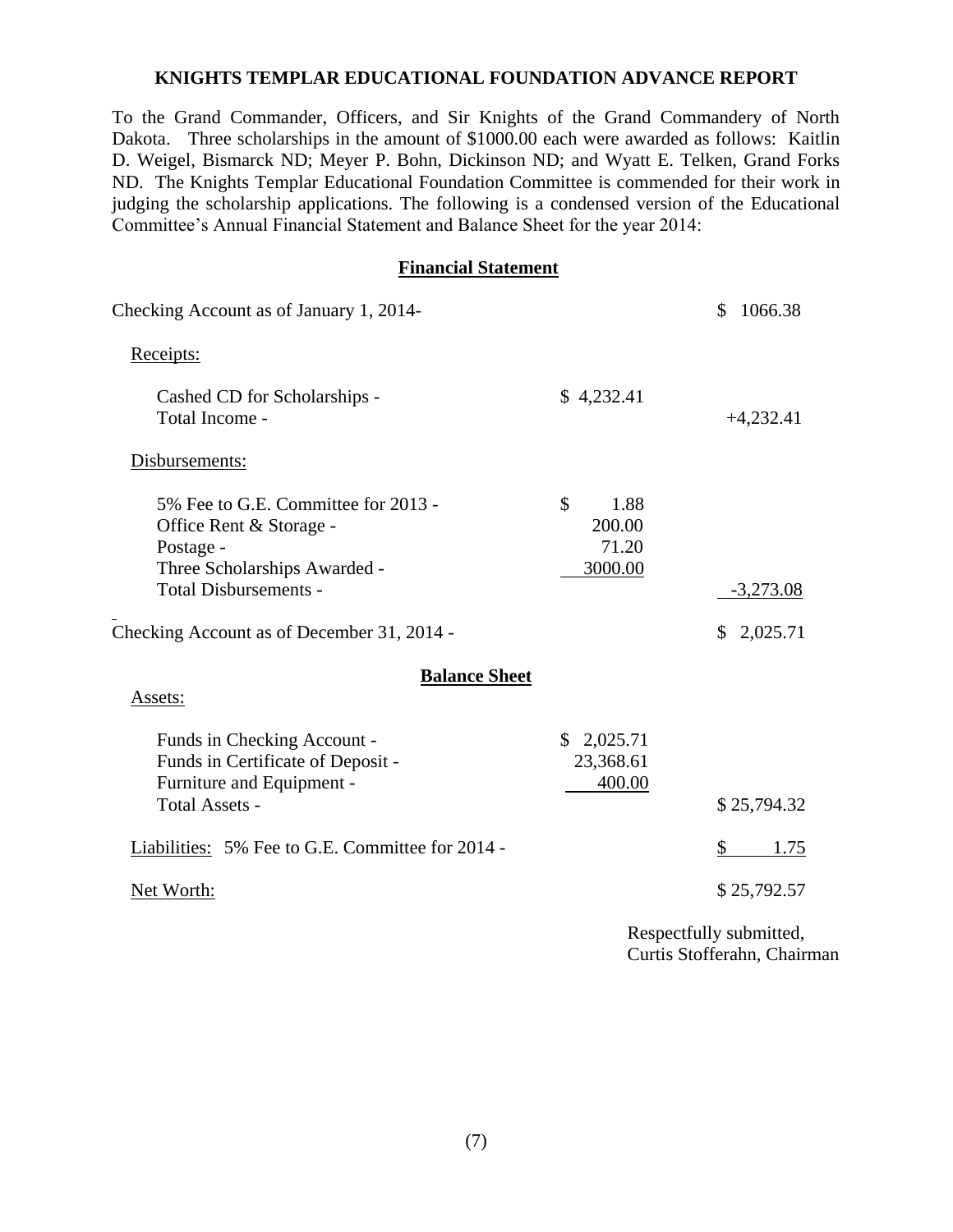## **KNIGHTS TEMPLAR EDUCATIONAL FOUNDATION ADVANCE REPORT**

To the Grand Commander, Officers, and Sir Knights of the Grand Commandery of North Dakota. Three scholarships in the amount of \$1000.00 each were awarded as follows: Kaitlin D. Weigel, Bismarck ND; Meyer P. Bohn, Dickinson ND; and Wyatt E. Telken, Grand Forks ND. The Knights Templar Educational Foundation Committee is commended for their work in judging the scholarship applications. The following is a condensed version of the Educational Committee's Annual Financial Statement and Balance Sheet for the year 2014:

## **Financial Statement**

| Checking Account as of January 1, 2014-                                                                                                                                                   | \$<br>1066.38                            |                                     |
|-------------------------------------------------------------------------------------------------------------------------------------------------------------------------------------------|------------------------------------------|-------------------------------------|
| Receipts:                                                                                                                                                                                 |                                          |                                     |
| Cashed CD for Scholarships -<br>Total Income -                                                                                                                                            | \$4,232.41                               | $+4,232.41$                         |
| Disbursements:                                                                                                                                                                            |                                          |                                     |
| 5% Fee to G.E. Committee for 2013 -<br>Office Rent & Storage -<br>Postage -<br>Three Scholarships Awarded -<br><b>Total Disbursements -</b><br>Checking Account as of December 31, 2014 - | \$<br>1.88<br>200.00<br>71.20<br>3000.00 | $-3,273.08$<br>\$2,025.71           |
| <b>Balance Sheet</b><br>Assets:                                                                                                                                                           |                                          |                                     |
| Funds in Checking Account -<br>Funds in Certificate of Deposit -<br>Furniture and Equipment -<br>Total Assets -                                                                           | \$2,025.71<br>23,368.61<br>400.00        | \$25,794.32                         |
| Liabilities: 5% Fee to G.E. Committee for 2014 -                                                                                                                                          |                                          | \$<br>1.75                          |
| Net Worth:                                                                                                                                                                                |                                          | \$25,792.57                         |
|                                                                                                                                                                                           |                                          | $D_{\alpha\alpha\beta\alpha\delta}$ |

Respectfully submitted, Curtis Stofferahn, Chairman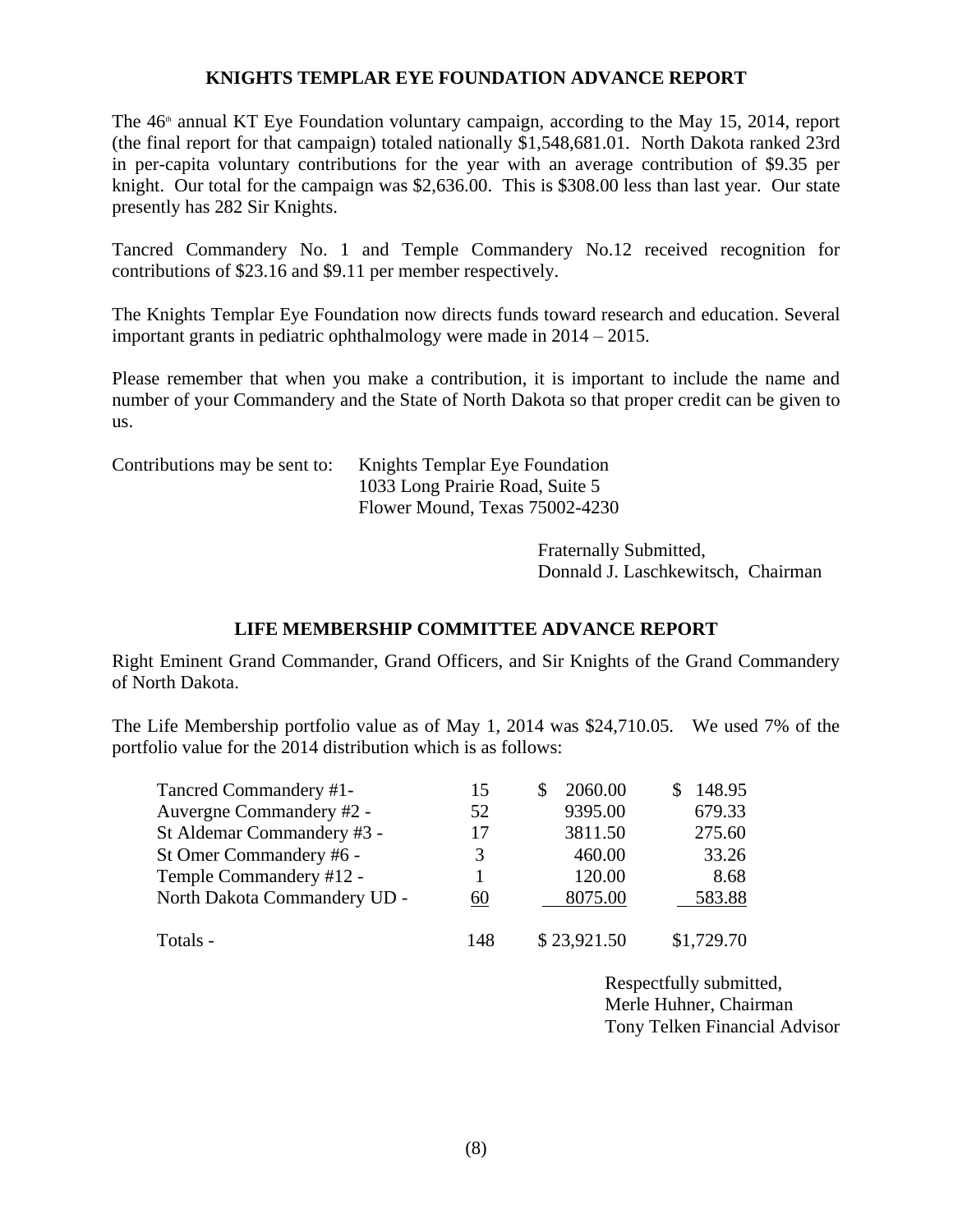## **KNIGHTS TEMPLAR EYE FOUNDATION ADVANCE REPORT**

The  $46<sup>th</sup>$  annual KT Eye Foundation voluntary campaign, according to the May 15, 2014, report (the final report for that campaign) totaled nationally \$1,548,681.01. North Dakota ranked 23rd in per-capita voluntary contributions for the year with an average contribution of \$9.35 per knight. Our total for the campaign was \$2,636.00. This is \$308.00 less than last year. Our state presently has 282 Sir Knights.

Tancred Commandery No. 1 and Temple Commandery No.12 received recognition for contributions of \$23.16 and \$9.11 per member respectively.

The Knights Templar Eye Foundation now directs funds toward research and education. Several important grants in pediatric ophthalmology were made in 2014 – 2015.

Please remember that when you make a contribution, it is important to include the name and number of your Commandery and the State of North Dakota so that proper credit can be given to us.

Contributions may be sent to: Knights Templar Eye Foundation 1033 Long Prairie Road, Suite 5 Flower Mound, Texas 75002-4230

> Fraternally Submitted, Donnald J. Laschkewitsch, Chairman

# **LIFE MEMBERSHIP COMMITTEE ADVANCE REPORT**

Right Eminent Grand Commander, Grand Officers, and Sir Knights of the Grand Commandery of North Dakota.

The Life Membership portfolio value as of May 1, 2014 was \$24,710.05. We used 7% of the portfolio value for the 2014 distribution which is as follows:

| Tancred Commandery #1-       | 15  | 2060.00     | 148.95     |
|------------------------------|-----|-------------|------------|
| Auvergne Commandery #2 -     | 52  | 9395.00     | 679.33     |
| St Aldemar Commandery #3 -   | 17  | 3811.50     | 275.60     |
| St Omer Commandery #6 -      | 3   | 460.00      | 33.26      |
| Temple Commandery #12 -      |     | 120.00      | 8.68       |
| North Dakota Commandery UD - | 60  | 8075.00     | 583.88     |
| Totals -                     | 148 | \$23,921.50 | \$1,729.70 |

Respectfully submitted, Merle Huhner, Chairman Tony Telken Financial Advisor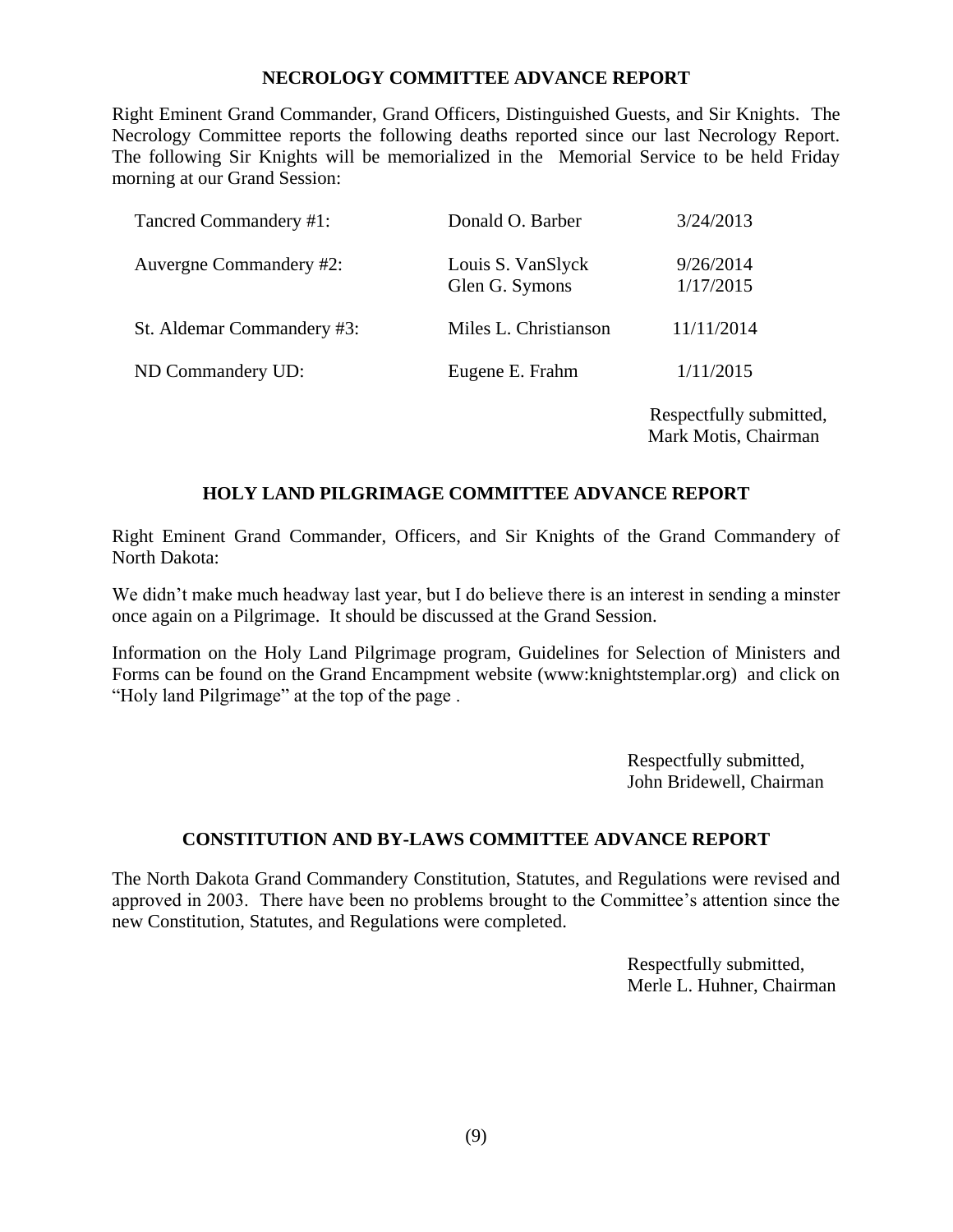## **NECROLOGY COMMITTEE ADVANCE REPORT**

Right Eminent Grand Commander, Grand Officers, Distinguished Guests, and Sir Knights. The Necrology Committee reports the following deaths reported since our last Necrology Report. The following Sir Knights will be memorialized in the Memorial Service to be held Friday morning at our Grand Session:

| Tancred Commandery #1:     | Donald O. Barber                    | 3/24/2013              |
|----------------------------|-------------------------------------|------------------------|
| Auvergne Commandery #2:    | Louis S. VanSlyck<br>Glen G. Symons | 9/26/2014<br>1/17/2015 |
| St. Aldemar Commandery #3: | Miles L. Christianson               | 11/11/2014             |
| ND Commandery UD:          | Eugene E. Frahm                     | 1/11/2015              |
|                            |                                     | Respectfully submi     |

Respectfully submitted, Mark Motis, Chairman

# **HOLY LAND PILGRIMAGE COMMITTEE ADVANCE REPORT**

Right Eminent Grand Commander, Officers, and Sir Knights of the Grand Commandery of North Dakota:

We didn't make much headway last year, but I do believe there is an interest in sending a minster once again on a Pilgrimage. It should be discussed at the Grand Session.

Information on the Holy Land Pilgrimage program, Guidelines for Selection of Ministers and Forms can be found on the Grand Encampment website (www:knightstemplar.org) and click on "Holy land Pilgrimage" at the top of the page .

> Respectfully submitted, John Bridewell, Chairman

# **CONSTITUTION AND BY-LAWS COMMITTEE ADVANCE REPORT**

The North Dakota Grand Commandery Constitution, Statutes, and Regulations were revised and approved in 2003. There have been no problems brought to the Committee's attention since the new Constitution, Statutes, and Regulations were completed.

> Respectfully submitted, Merle L. Huhner, Chairman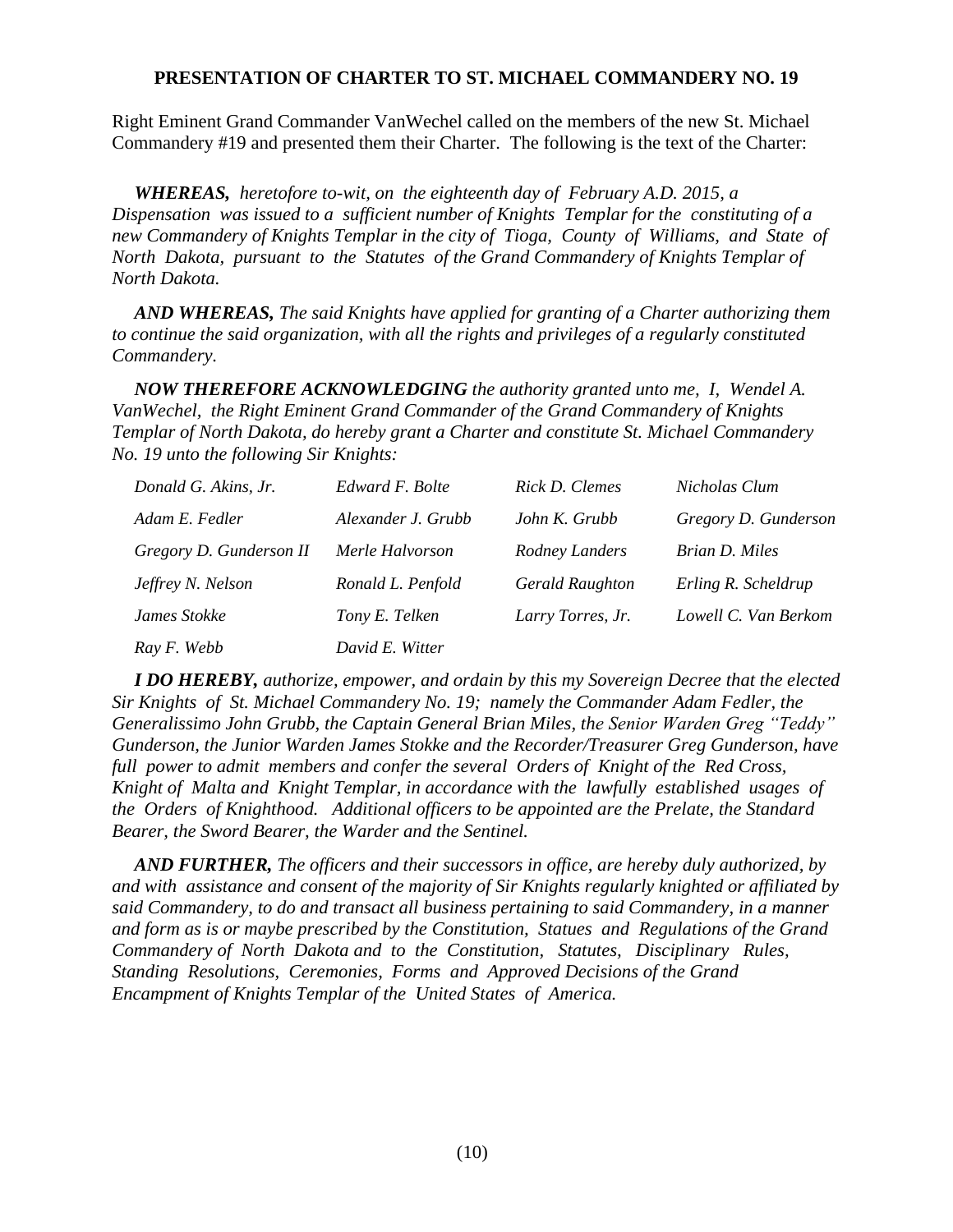## **PRESENTATION OF CHARTER TO ST. MICHAEL COMMANDERY NO. 19**

Right Eminent Grand Commander VanWechel called on the members of the new St. Michael Commandery #19 and presented them their Charter. The following is the text of the Charter:

*WHEREAS, heretofore to-wit, on the eighteenth day of February A.D. 2015, a Dispensation was issued to a sufficient number of Knights Templar for the constituting of a new Commandery of Knights Templar in the city of Tioga, County of Williams, and State of North Dakota, pursuant to the Statutes of the Grand Commandery of Knights Templar of North Dakota.*

*AND WHEREAS, The said Knights have applied for granting of a Charter authorizing them to continue the said organization, with all the rights and privileges of a regularly constituted Commandery.* 

*NOW THEREFORE ACKNOWLEDGING the authority granted unto me, I, Wendel A. VanWechel, the Right Eminent Grand Commander of the Grand Commandery of Knights Templar of North Dakota, do hereby grant a Charter and constitute St. Michael Commandery No. 19 unto the following Sir Knights:*

| Donald G. Akins, Jr.    | Edward F. Bolte    | Rick D. Clemes         | Nicholas Clum        |
|-------------------------|--------------------|------------------------|----------------------|
| Adam E. Fedler          | Alexander J. Grubb | John K. Grubb          | Gregory D. Gunderson |
| Gregory D. Gunderson II | Merle Halvorson    | Rodney Landers         | Brian D. Miles       |
| Jeffrey N. Nelson       | Ronald L. Penfold  | <b>Gerald Raughton</b> | Erling R. Scheldrup  |
| James Stokke            | Tony E. Telken     | Larry Torres, Jr.      | Lowell C. Van Berkom |
| Ray F. Webb             | David E. Witter    |                        |                      |

*I DO HEREBY, authorize, empower, and ordain by this my Sovereign Decree that the elected Sir Knights of St. Michael Commandery No. 19; namely the Commander Adam Fedler, the Generalissimo John Grubb, the Captain General Brian Miles, the Senior Warden Greg "Teddy" Gunderson, the Junior Warden James Stokke and the Recorder/Treasurer Greg Gunderson, have full power to admit members and confer the several Orders of Knight of the Red Cross, Knight of Malta and Knight Templar, in accordance with the lawfully established usages of the Orders of Knighthood. Additional officers to be appointed are the Prelate, the Standard Bearer, the Sword Bearer, the Warder and the Sentinel.* 

*AND FURTHER, The officers and their successors in office, are hereby duly authorized, by and with assistance and consent of the majority of Sir Knights regularly knighted or affiliated by said Commandery, to do and transact all business pertaining to said Commandery, in a manner and form as is or maybe prescribed by the Constitution, Statues and Regulations of the Grand Commandery of North Dakota and to the Constitution, Statutes, Disciplinary Rules, Standing Resolutions, Ceremonies, Forms and Approved Decisions of the Grand Encampment of Knights Templar of the United States of America.*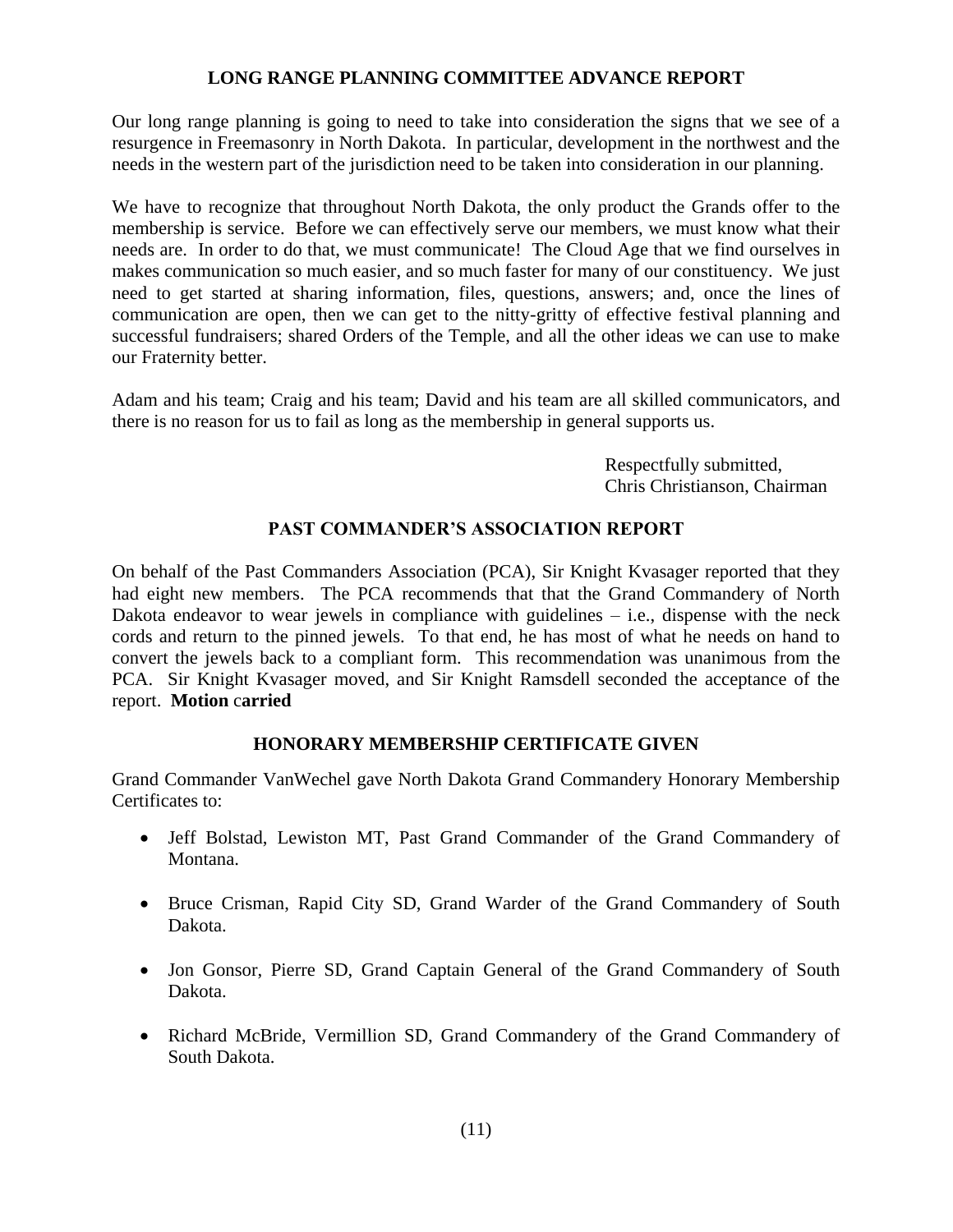## **LONG RANGE PLANNING COMMITTEE ADVANCE REPORT**

Our long range planning is going to need to take into consideration the signs that we see of a resurgence in Freemasonry in North Dakota. In particular, development in the northwest and the needs in the western part of the jurisdiction need to be taken into consideration in our planning.

We have to recognize that throughout North Dakota, the only product the Grands offer to the membership is service. Before we can effectively serve our members, we must know what their needs are. In order to do that, we must communicate! The Cloud Age that we find ourselves in makes communication so much easier, and so much faster for many of our constituency. We just need to get started at sharing information, files, questions, answers; and, once the lines of communication are open, then we can get to the nitty-gritty of effective festival planning and successful fundraisers; shared Orders of the Temple, and all the other ideas we can use to make our Fraternity better.

Adam and his team; Craig and his team; David and his team are all skilled communicators, and there is no reason for us to fail as long as the membership in general supports us.

> Respectfully submitted, Chris Christianson, Chairman

# **PAST COMMANDER'S ASSOCIATION REPORT**

On behalf of the Past Commanders Association (PCA), Sir Knight Kvasager reported that they had eight new members. The PCA recommends that that the Grand Commandery of North Dakota endeavor to wear jewels in compliance with guidelines – i.e., dispense with the neck cords and return to the pinned jewels. To that end, he has most of what he needs on hand to convert the jewels back to a compliant form. This recommendation was unanimous from the PCA. Sir Knight Kvasager moved, and Sir Knight Ramsdell seconded the acceptance of the report. **Motion** c**arried**

# **HONORARY MEMBERSHIP CERTIFICATE GIVEN**

Grand Commander VanWechel gave North Dakota Grand Commandery Honorary Membership Certificates to:

- Jeff Bolstad, Lewiston MT, Past Grand Commander of the Grand Commandery of Montana.
- Bruce Crisman, Rapid City SD, Grand Warder of the Grand Commandery of South Dakota.
- Jon Gonsor, Pierre SD, Grand Captain General of the Grand Commandery of South Dakota.
- Richard McBride, Vermillion SD, Grand Commandery of the Grand Commandery of South Dakota.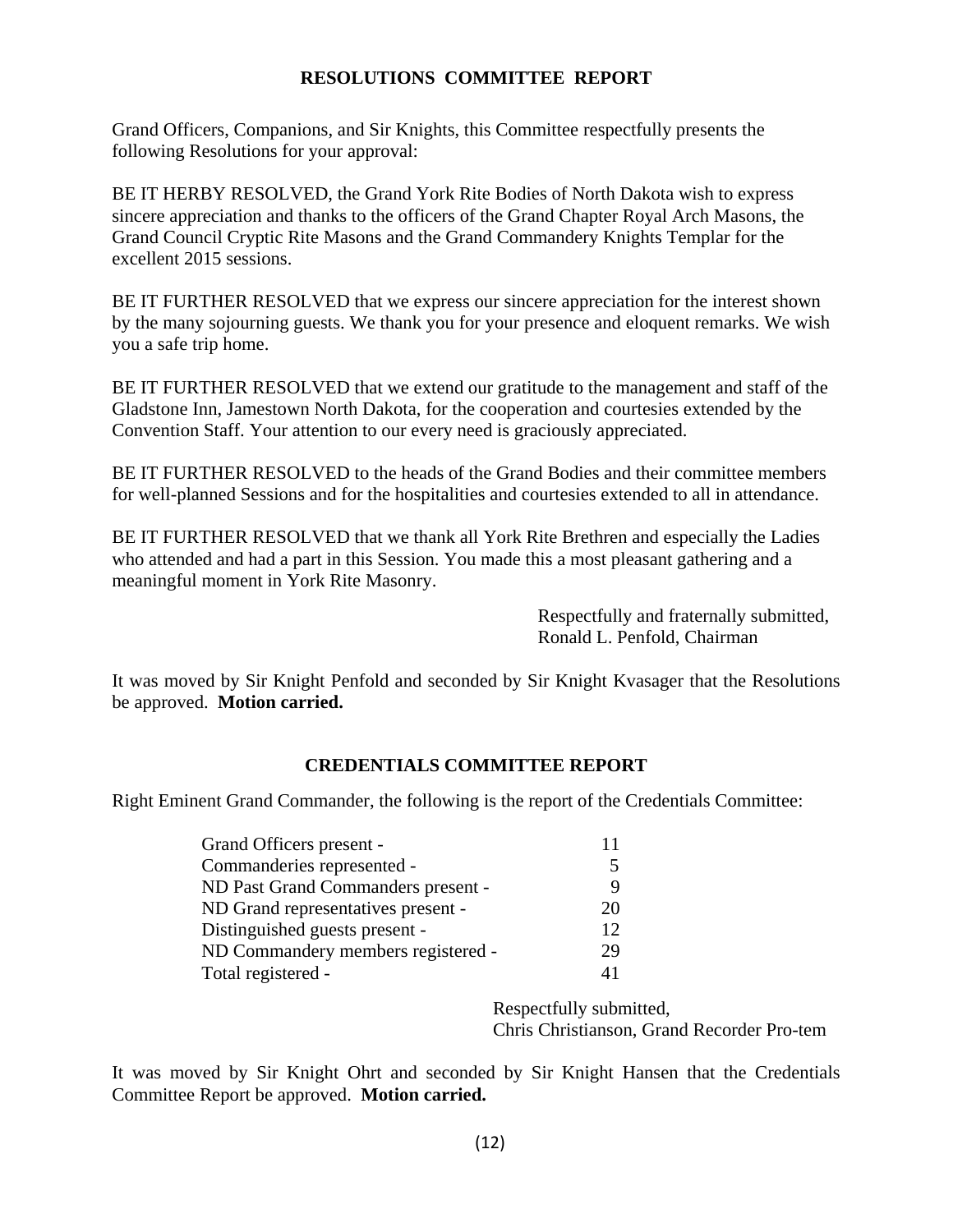## **RESOLUTIONS COMMITTEE REPORT**

Grand Officers, Companions, and Sir Knights, this Committee respectfully presents the following Resolutions for your approval:

BE IT HERBY RESOLVED, the Grand York Rite Bodies of North Dakota wish to express sincere appreciation and thanks to the officers of the Grand Chapter Royal Arch Masons, the Grand Council Cryptic Rite Masons and the Grand Commandery Knights Templar for the excellent 2015 sessions.

BE IT FURTHER RESOLVED that we express our sincere appreciation for the interest shown by the many sojourning guests. We thank you for your presence and eloquent remarks. We wish you a safe trip home.

BE IT FURTHER RESOLVED that we extend our gratitude to the management and staff of the Gladstone Inn, Jamestown North Dakota, for the cooperation and courtesies extended by the Convention Staff. Your attention to our every need is graciously appreciated.

BE IT FURTHER RESOLVED to the heads of the Grand Bodies and their committee members for well-planned Sessions and for the hospitalities and courtesies extended to all in attendance.

BE IT FURTHER RESOLVED that we thank all York Rite Brethren and especially the Ladies who attended and had a part in this Session. You made this a most pleasant gathering and a meaningful moment in York Rite Masonry.

> Respectfully and fraternally submitted, Ronald L. Penfold, Chairman

It was moved by Sir Knight Penfold and seconded by Sir Knight Kvasager that the Resolutions be approved. **Motion carried.**

## **CREDENTIALS COMMITTEE REPORT**

Right Eminent Grand Commander, the following is the report of the Credentials Committee:

| Grand Officers present -           |    |
|------------------------------------|----|
| Commanderies represented -         | 5  |
| ND Past Grand Commanders present - | 9  |
| ND Grand representatives present - | 20 |
| Distinguished guests present -     | 12 |
| ND Commandery members registered - | 29 |
| Total registered -                 | 41 |

Respectfully submitted, Chris Christianson, Grand Recorder Pro-tem

It was moved by Sir Knight Ohrt and seconded by Sir Knight Hansen that the Credentials Committee Report be approved. **Motion carried.**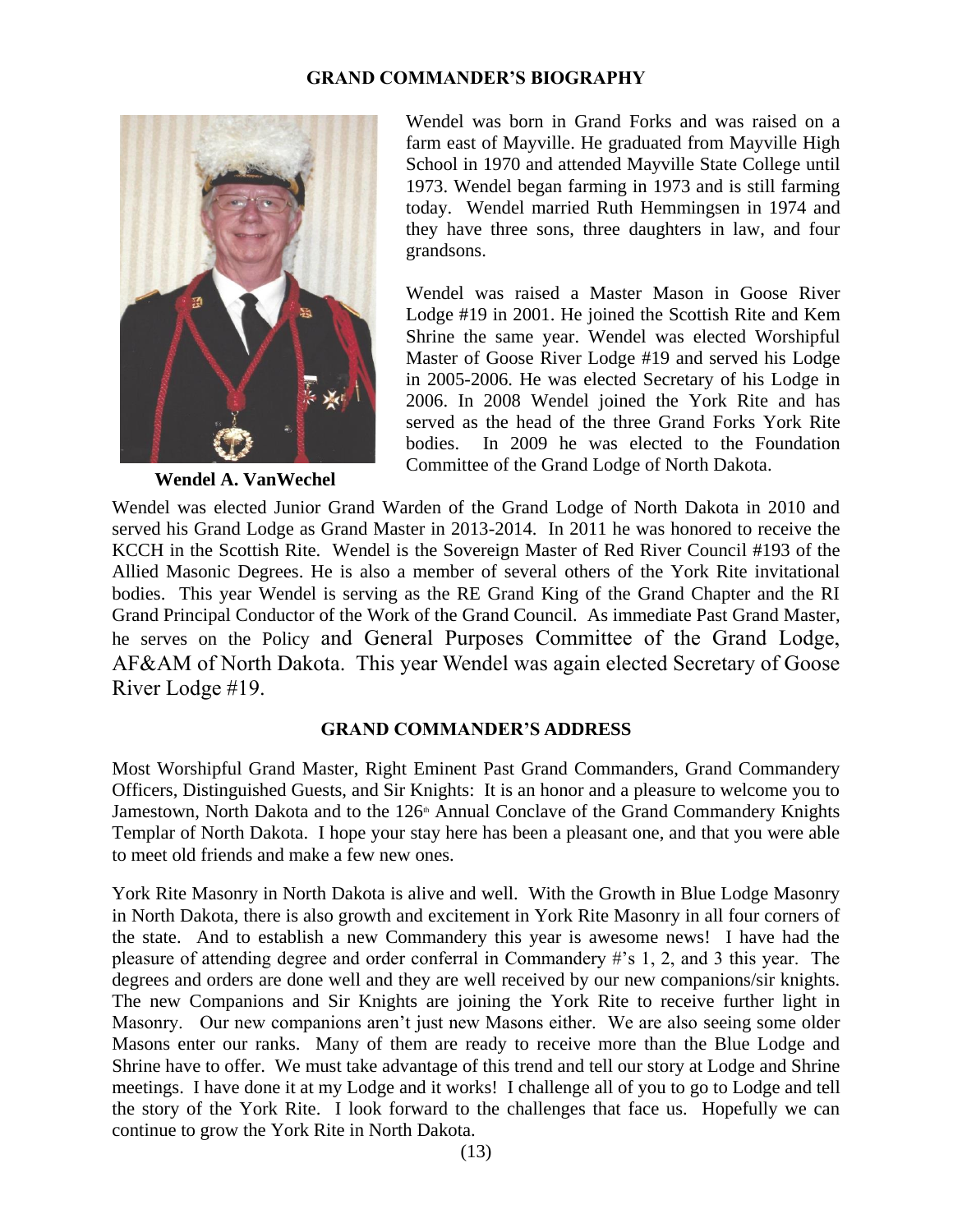## **GRAND COMMANDER'S BIOGRAPHY**



 **Wendel A. VanWechel** 

Wendel was born in Grand Forks and was raised on a farm east of Mayville. He graduated from Mayville High School in 1970 and attended Mayville State College until 1973. Wendel began farming in 1973 and is still farming today. Wendel married Ruth Hemmingsen in 1974 and they have three sons, three daughters in law, and four grandsons.

Wendel was raised a Master Mason in Goose River Lodge #19 in 2001. He joined the Scottish Rite and Kem Shrine the same year. Wendel was elected Worshipful Master of Goose River Lodge #19 and served his Lodge in 2005-2006. He was elected Secretary of his Lodge in 2006. In 2008 Wendel joined the York Rite and has served as the head of the three Grand Forks York Rite bodies. In 2009 he was elected to the Foundation Committee of the Grand Lodge of North Dakota.

Wendel was elected Junior Grand Warden of the Grand Lodge of North Dakota in 2010 and served his Grand Lodge as Grand Master in 2013-2014. In 2011 he was honored to receive the KCCH in the Scottish Rite. Wendel is the Sovereign Master of Red River Council #193 of the Allied Masonic Degrees. He is also a member of several others of the York Rite invitational bodies. This year Wendel is serving as the RE Grand King of the Grand Chapter and the RI Grand Principal Conductor of the Work of the Grand Council. As immediate Past Grand Master, he serves on the Policy and General Purposes Committee of the Grand Lodge, AF&AM of North Dakota. This year Wendel was again elected Secretary of Goose River Lodge #19.

## **GRAND COMMANDER'S ADDRESS**

Most Worshipful Grand Master, Right Eminent Past Grand Commanders, Grand Commandery Officers, Distinguished Guests, and Sir Knights: It is an honor and a pleasure to welcome you to Jamestown, North Dakota and to the 126<sup>th</sup> Annual Conclave of the Grand Commandery Knights Templar of North Dakota. I hope your stay here has been a pleasant one, and that you were able to meet old friends and make a few new ones.

York Rite Masonry in North Dakota is alive and well. With the Growth in Blue Lodge Masonry in North Dakota, there is also growth and excitement in York Rite Masonry in all four corners of the state. And to establish a new Commandery this year is awesome news! I have had the pleasure of attending degree and order conferral in Commandery #'s 1, 2, and 3 this year. The degrees and orders are done well and they are well received by our new companions/sir knights. The new Companions and Sir Knights are joining the York Rite to receive further light in Masonry. Our new companions aren't just new Masons either. We are also seeing some older Masons enter our ranks. Many of them are ready to receive more than the Blue Lodge and Shrine have to offer. We must take advantage of this trend and tell our story at Lodge and Shrine meetings. I have done it at my Lodge and it works! I challenge all of you to go to Lodge and tell the story of the York Rite. I look forward to the challenges that face us. Hopefully we can continue to grow the York Rite in North Dakota.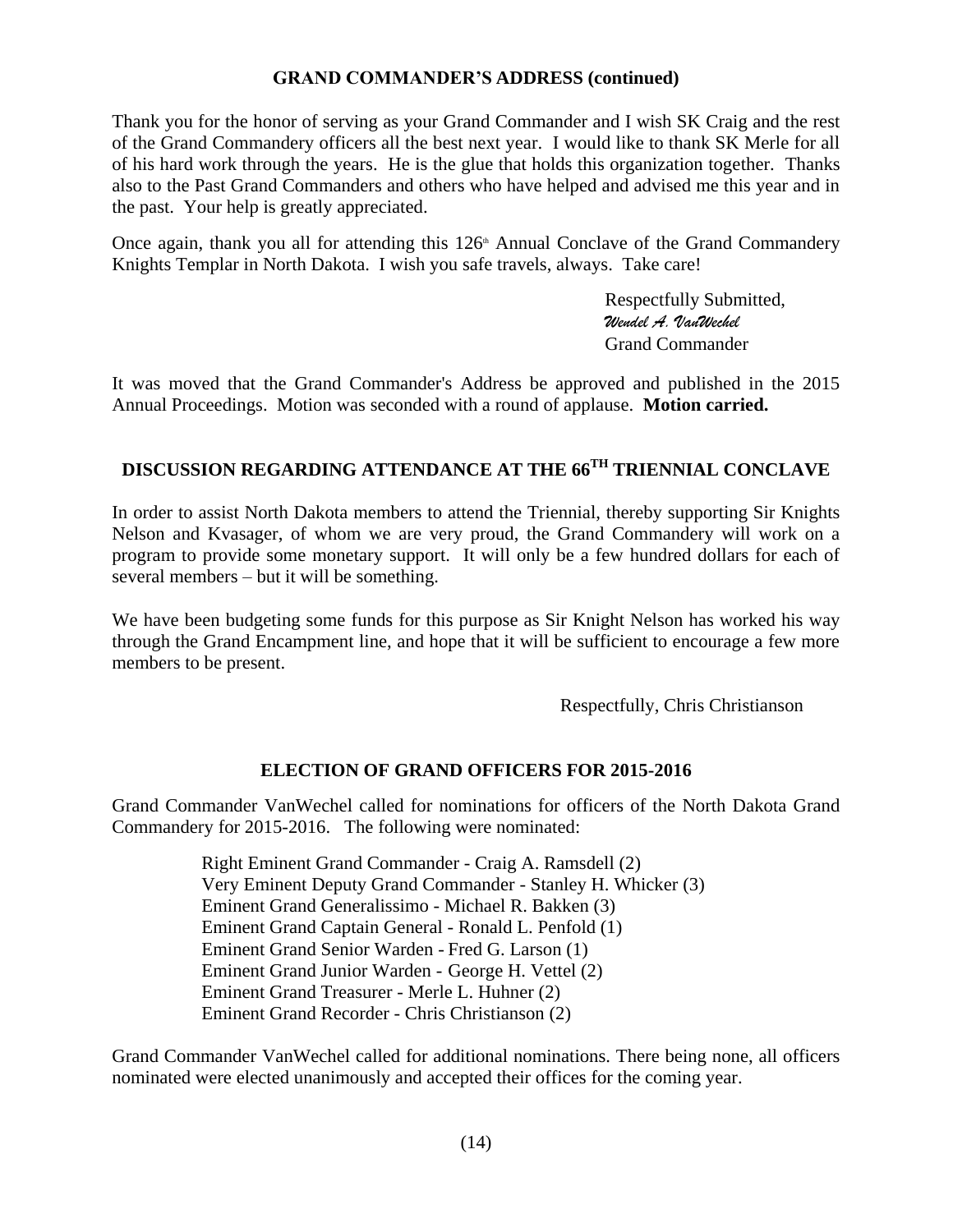## **GRAND COMMANDER'S ADDRESS (continued)**

Thank you for the honor of serving as your Grand Commander and I wish SK Craig and the rest of the Grand Commandery officers all the best next year. I would like to thank SK Merle for all of his hard work through the years. He is the glue that holds this organization together. Thanks also to the Past Grand Commanders and others who have helped and advised me this year and in the past. Your help is greatly appreciated.

Once again, thank you all for attending this  $126<sup>th</sup>$  Annual Conclave of the Grand Commandery Knights Templar in North Dakota. I wish you safe travels, always. Take care!

> Respectfully Submitted, *Wendel A. VanWechel* Grand Commander

It was moved that the Grand Commander's Address be approved and published in the 2015 Annual Proceedings. Motion was seconded with a round of applause. **Motion carried.** 

# **DISCUSSION REGARDING ATTENDANCE AT THE 66TH TRIENNIAL CONCLAVE**

In order to assist North Dakota members to attend the Triennial, thereby supporting Sir Knights Nelson and Kvasager, of whom we are very proud, the Grand Commandery will work on a program to provide some monetary support. It will only be a few hundred dollars for each of several members – but it will be something.

We have been budgeting some funds for this purpose as Sir Knight Nelson has worked his way through the Grand Encampment line, and hope that it will be sufficient to encourage a few more members to be present.

Respectfully, Chris Christianson

## **ELECTION OF GRAND OFFICERS FOR 2015-2016**

Grand Commander VanWechel called for nominations for officers of the North Dakota Grand Commandery for 2015-2016. The following were nominated:

> Right Eminent Grand Commander - Craig A. Ramsdell (2) Very Eminent Deputy Grand Commander - Stanley H. Whicker (3) Eminent Grand Generalissimo - Michael R. Bakken (3) Eminent Grand Captain General - Ronald L. Penfold (1) Eminent Grand Senior Warden - Fred G. Larson (1) Eminent Grand Junior Warden - George H. Vettel (2) Eminent Grand Treasurer - Merle L. Huhner (2) Eminent Grand Recorder - Chris Christianson (2)

Grand Commander VanWechel called for additional nominations. There being none, all officers nominated were elected unanimously and accepted their offices for the coming year.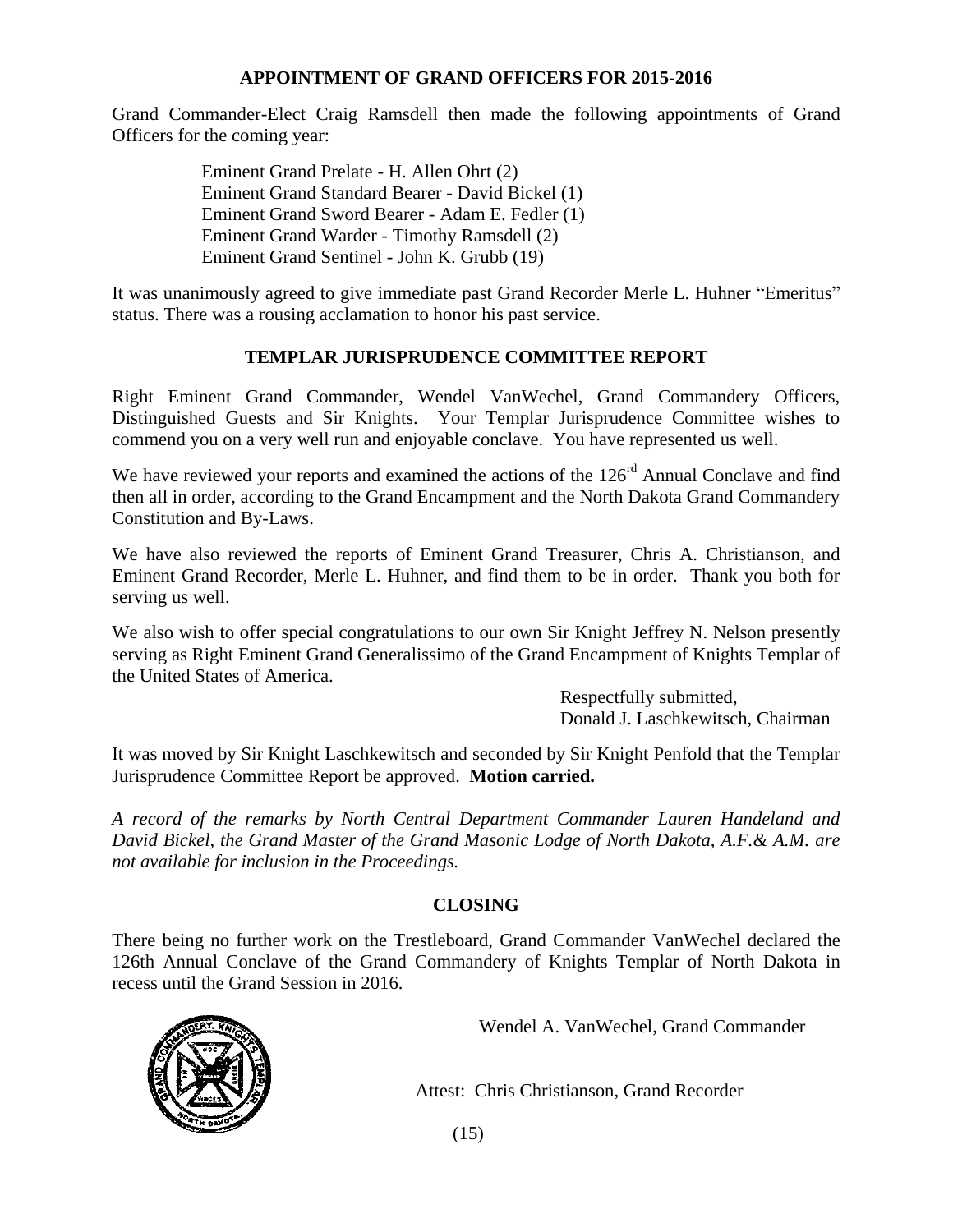## **APPOINTMENT OF GRAND OFFICERS FOR 2015-2016**

Grand Commander-Elect Craig Ramsdell then made the following appointments of Grand Officers for the coming year:

> Eminent Grand Prelate - H. Allen Ohrt (2) Eminent Grand Standard Bearer - David Bickel (1) Eminent Grand Sword Bearer - Adam E. Fedler (1) Eminent Grand Warder - Timothy Ramsdell (2) Eminent Grand Sentinel - John K. Grubb (19)

It was unanimously agreed to give immediate past Grand Recorder Merle L. Huhner "Emeritus" status. There was a rousing acclamation to honor his past service.

# **TEMPLAR JURISPRUDENCE COMMITTEE REPORT**

Right Eminent Grand Commander, Wendel VanWechel, Grand Commandery Officers, Distinguished Guests and Sir Knights. Your Templar Jurisprudence Committee wishes to commend you on a very well run and enjoyable conclave. You have represented us well.

We have reviewed your reports and examined the actions of the 126<sup>rd</sup> Annual Conclave and find then all in order, according to the Grand Encampment and the North Dakota Grand Commandery Constitution and By-Laws.

We have also reviewed the reports of Eminent Grand Treasurer, Chris A. Christianson, and Eminent Grand Recorder, Merle L. Huhner, and find them to be in order. Thank you both for serving us well.

We also wish to offer special congratulations to our own Sir Knight Jeffrey N. Nelson presently serving as Right Eminent Grand Generalissimo of the Grand Encampment of Knights Templar of the United States of America.

> Respectfully submitted, Donald J. Laschkewitsch, Chairman

It was moved by Sir Knight Laschkewitsch and seconded by Sir Knight Penfold that the Templar Jurisprudence Committee Report be approved. **Motion carried.**

*A record of the remarks by North Central Department Commander Lauren Handeland and David Bickel, the Grand Master of the Grand Masonic Lodge of North Dakota, A.F.& A.M. are not available for inclusion in the Proceedings.*

# **CLOSING**

There being no further work on the Trestleboard, Grand Commander VanWechel declared the 126th Annual Conclave of the Grand Commandery of Knights Templar of North Dakota in recess until the Grand Session in 2016.



Wendel A. VanWechel, Grand Commander

Attest: Chris Christianson, Grand Recorder

(15)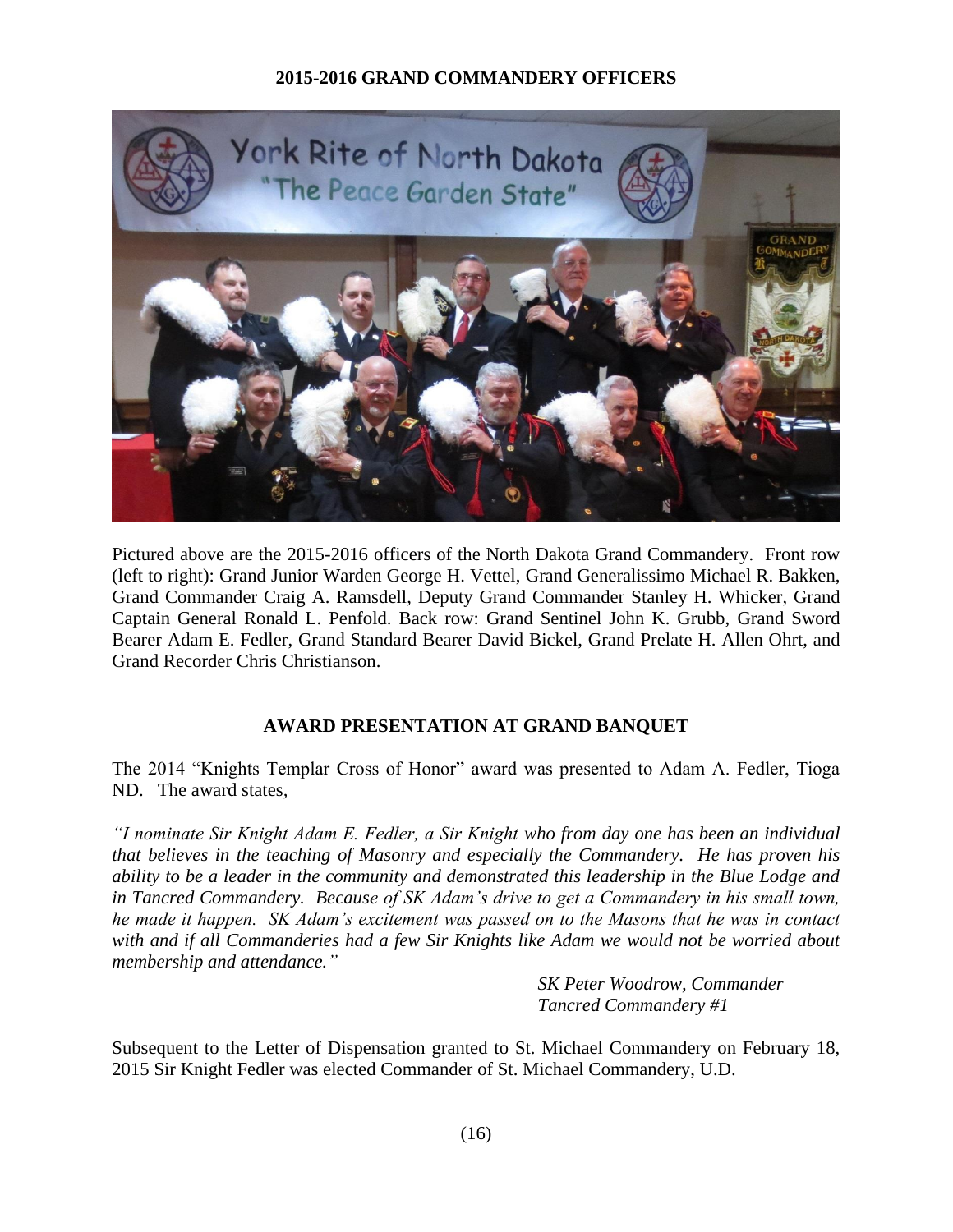## **2015-2016 GRAND COMMANDERY OFFICERS**



Pictured above are the 2015-2016 officers of the North Dakota Grand Commandery. Front row (left to right): Grand Junior Warden George H. Vettel, Grand Generalissimo Michael R. Bakken, Grand Commander Craig A. Ramsdell, Deputy Grand Commander Stanley H. Whicker, Grand Captain General Ronald L. Penfold. Back row: Grand Sentinel John K. Grubb, Grand Sword Bearer Adam E. Fedler, Grand Standard Bearer David Bickel, Grand Prelate H. Allen Ohrt, and Grand Recorder Chris Christianson.

# **AWARD PRESENTATION AT GRAND BANQUET**

The 2014 "Knights Templar Cross of Honor" award was presented to Adam A. Fedler, Tioga ND. The award states*,* 

*"I nominate Sir Knight Adam E. Fedler, a Sir Knight who from day one has been an individual that believes in the teaching of Masonry and especially the Commandery. He has proven his ability to be a leader in the community and demonstrated this leadership in the Blue Lodge and in Tancred Commandery. Because of SK Adam's drive to get a Commandery in his small town, he made it happen. SK Adam's excitement was passed on to the Masons that he was in contact with and if all Commanderies had a few Sir Knights like Adam we would not be worried about membership and attendance."*

> *SK Peter Woodrow, Commander Tancred Commandery #1*

Subsequent to the Letter of Dispensation granted to St. Michael Commandery on February 18, 2015 Sir Knight Fedler was elected Commander of St. Michael Commandery, U.D.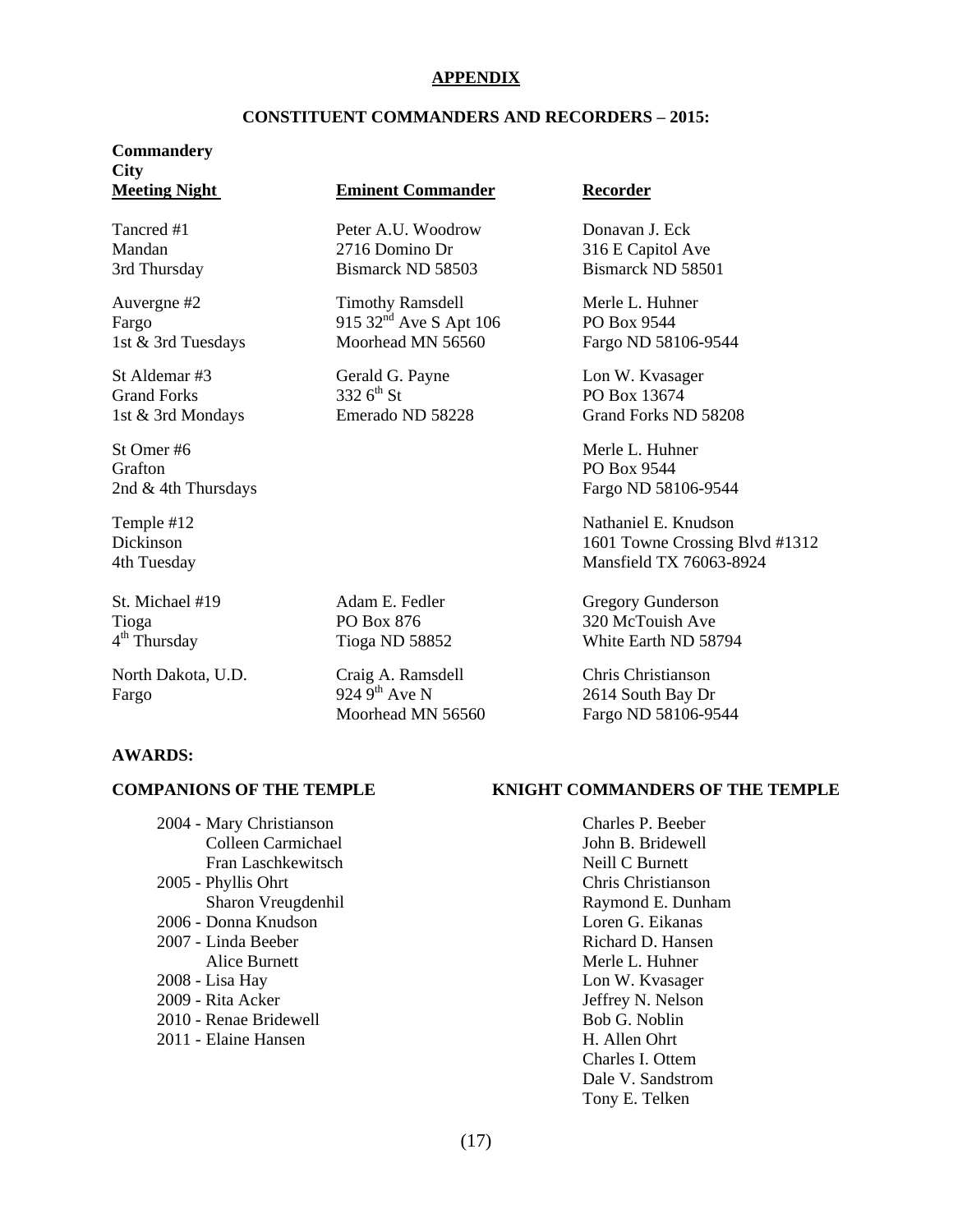### **APPENDIX**

#### **CONSTITUENT COMMANDERS AND RECORDERS – 2015:**

# **Commandery City**

St Omer #6 Merle L. Huhner Grafton PO Box 9544

 $4<sup>th</sup>$  Thursday

#### **Meeting Night Eminent Commander Recorder**

Tancred #1 **Peter A.U. Woodrow** Donavan J. Eck Mandan 2716 Domino Dr 316 E Capitol Ave 3rd Thursday Bismarck ND 58503 Bismarck ND 58501

Auvergne #2 Timothy Ramsdell Merle L. Huhner Fargo 915 32<sup>nd</sup> Ave S Apt 106 PO Box 9544<br>1st & 3rd Tuesdays Moorhead MN 56560 Fargo ND 581 1st & 3rd Tuesdays Moorhead MN 56560 Fargo ND 58106-9544

St Aldemar #3 Gerald G. Payne Lon W. Kvasager<br>
Grand Forks 332 6<sup>th</sup> St PO Box 13674 Grand Forks  $3326^{\text{th}}$  St  $PQ$  Box 13674

North Dakota, U.D. Craig A. Ramsdell Chris Christianson<br>
Fargo 224 9<sup>th</sup> Ave N 2614 South Bay Dr Fargo 924 9<sup>th</sup> Ave N 2614 South Bay Dr

1st & 3rd Mondays Emerado ND 58228 Grand Forks ND 58208

2nd & 4th Thursdays Fargo ND 58106-9544

Temple #12 Nathaniel E. Knudson Dickinson 1601 Towne Crossing Blvd #1312 4th Tuesday Mansfield TX 76063-8924

St. Michael #19 **Adam E. Fedler** Gregory Gunderson Tioga PO Box 876 320 McTouish Ave Tioga ND 58852 White Earth ND 58794

Moorhead MN 56560 Fargo ND 58106-9544

#### **AWARDS:**

2004 - Mary Christianson Charles P. Beeber Colleen Carmichael John B. Bridewell Fran Laschkewitsch Neill C Burnett 2005 - Phyllis Ohrt Chris Christianson Sharon Vreugdenhil Raymond E. Dunham 2006 - Donna Knudson Loren G. Eikanas 2007 - Linda Beeber Richard D. Hansen Alice Burnett **Merle L. Huhner** Merle L. Huhner 2008 - Lisa Hay Lon W. Kvasager 2009 - Rita Acker Jeffrey N. Nelson 2010 - Renae Bridewell Bob G. Noblin 2011 - Elaine Hansen H. Allen Ohrt

#### **COMPANIONS OF THE TEMPLE KNIGHT COMMANDERS OF THE TEMPLE**

Charles I. Ottem Dale V. Sandstrom Tony E. Telken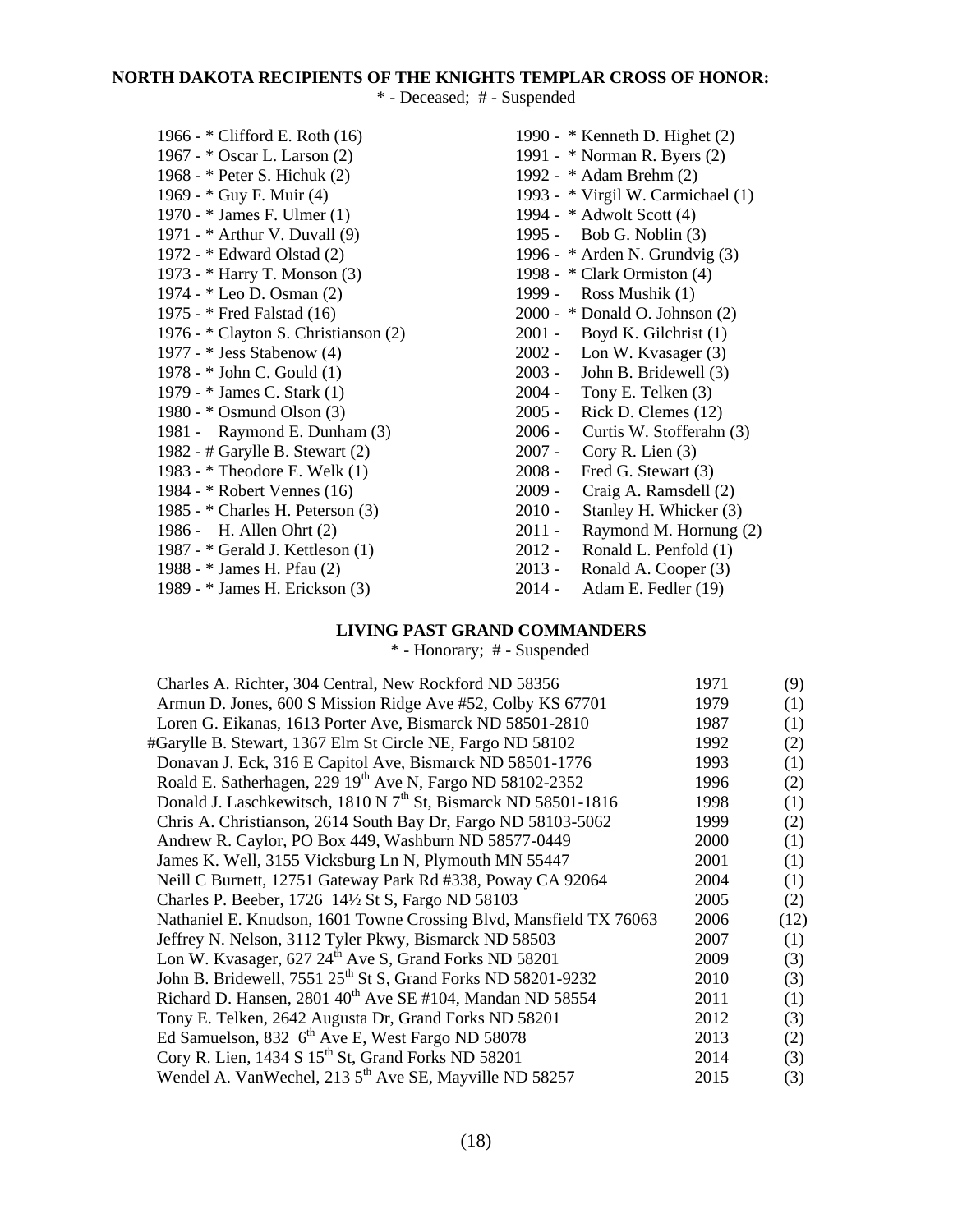# **NORTH DAKOTA RECIPIENTS OF THE KNIGHTS TEMPLAR CROSS OF HONOR:**

\* - Deceased; # - Suspended

| 1966 - * Clifford E. Roth (16)       |
|--------------------------------------|
| 1967 - * Oscar L. Larson (2)         |
| 1968 - * Peter S. Hichuk (2)         |
| 1969 - * Guy F. Muir (4)             |
| 1970 - * James F. Ulmer (1)          |
| 1971 - * Arthur V. Duvall (9)        |
| 1972 - * Edward Olstad (2)           |
| 1973 - * Harry T. Monson (3)         |
| 1974 - * Leo D. Osman (2)            |
| 1975 - * Fred Falstad (16)           |
| 1976 - * Clayton S. Christianson (2) |
| 1977 - * Jess Stabenow (4)           |
| 1978 - * John C. Gould (1)           |
| 1979 - * James C. Stark (1)          |
| 1980 - * Osmund Olson (3)            |
| 1981 - Raymond E. Dunham (3)         |
| 1982 - # Garylle B. Stewart (2)      |
| 1983 - * Theodore E. Welk (1)        |
| 1984 - * Robert Vennes (16)          |
| 1985 - * Charles H. Peterson (3)     |
| 1986 - H. Allen Ohrt (2)             |
| 1987 - * Gerald J. Kettleson (1)     |
| 1988 - * James H. Pfau (2)           |
| 1989 - * James H. Erickson (3)       |

1990 -  $*$  Kenneth D. Highet (2) 1991 - \* Norman R. Byers (2) 1992 - \* Adam Brehm (2) 1993 -  $*$  Virgil W. Carmichael (1) 1994 -  $*$  Adwolt Scott (4) 1995 - Bob G. Noblin (3) 1996 -  $*$  Arden N. Grundvig (3) 1998 - \* Clark Ormiston (4) 1999 - Ross Mushik (1)  $2000 - * Donald O. Johnson (2)$ 2001 - Boyd K. Gilchrist (1)<br>2002 - Lon W. Kvasager (3) 2002 - Lon W. Kvasager (3)<br>2003 - John B. Bridewell (3) John B. Bridewell (3) 2004 - Tony E. Telken (3) 2005 - **Kick D. Clemes (12)** 2006 - Curtis W. Stofferahn (3) 2007 - Cory R. Lien (3)  $2008 -$  Fred G. Stewart (3) 2009 - Craig A. Ramsdell (2) 2010 - Stanley H. Whicker (3)  $2011$  - Raymond M. Hornung  $(2)$  $2012$  - Ronald L. Penfold  $(1)$  $2013$  - Ronald A. Cooper (3)

(3) 2014 - Adam E. Fedler (19)

## **LIVING PAST GRAND COMMANDERS**

\* - Honorary; # - Suspended

| 1971 | (9)  |
|------|------|
| 1979 | (1)  |
| 1987 | (1)  |
| 1992 | (2)  |
| 1993 | (1)  |
| 1996 | (2)  |
| 1998 | (1)  |
| 1999 | (2)  |
| 2000 | (1)  |
| 2001 | (1)  |
| 2004 | (1)  |
| 2005 | (2)  |
| 2006 | (12) |
| 2007 | (1)  |
| 2009 | (3)  |
| 2010 | (3)  |
| 2011 | (1)  |
| 2012 | (3)  |
| 2013 | (2)  |
| 2014 | (3)  |
| 2015 | (3)  |
|      |      |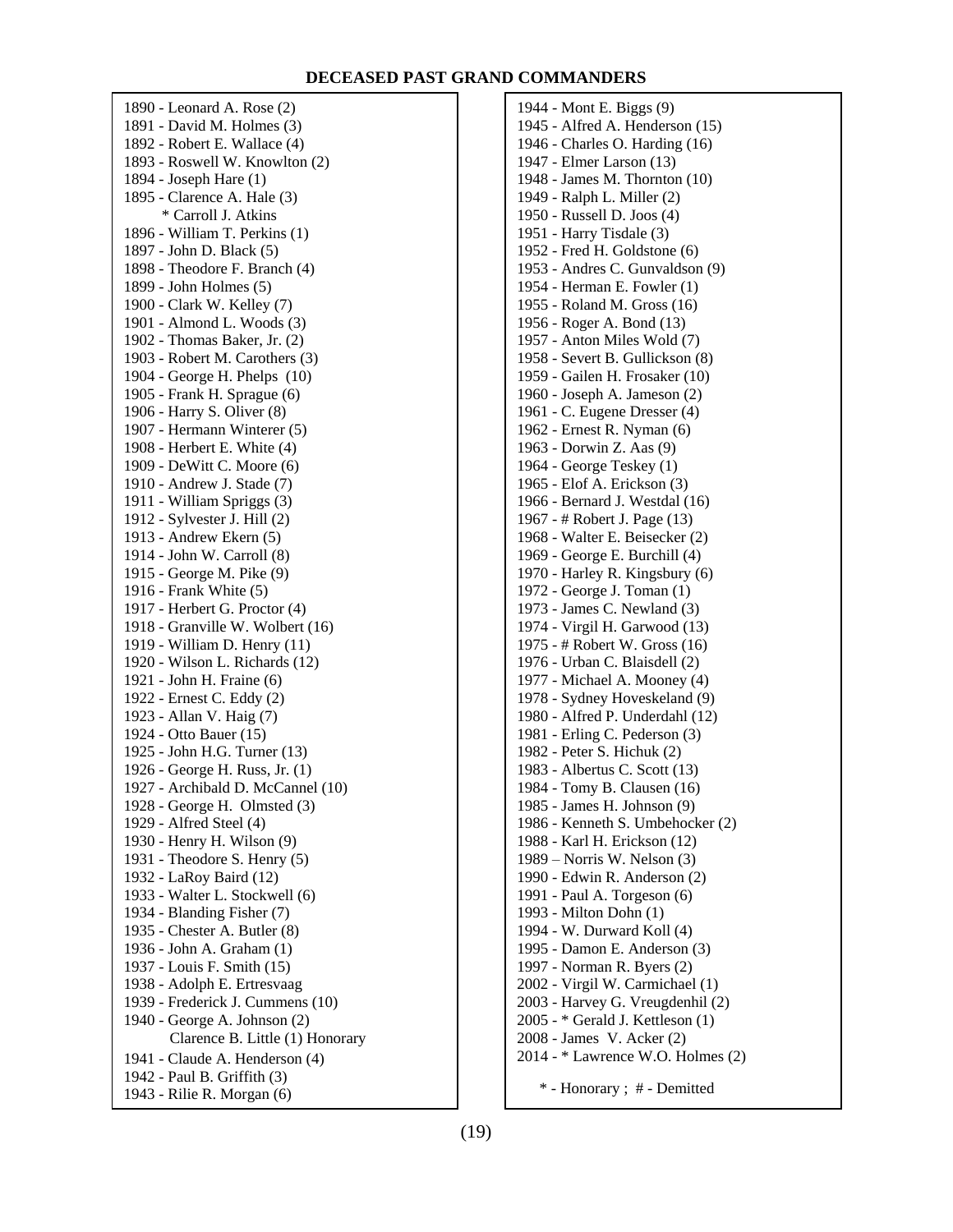#### **DECEASED PAST GRAND COMMANDERS**

1890 - Leonard A. Rose (2) 1891 - David M. Holmes (3) 1892 - Robert E. Wallace (4) 1893 - Roswell W. Knowlton (2) 1894 - Joseph Hare (1) 1895 - Clarence A. Hale (3) \* Carroll J. Atkins 1896 - William T. Perkins (1) 1897 - John D. Black (5) 1898 - Theodore F. Branch (4) 1899 - John Holmes (5) 1900 - Clark W. Kelley (7) 1901 - Almond L. Woods (3) 1902 - Thomas Baker, Jr. (2) 1903 - Robert M. Carothers (3) 1904 - George H. Phelps (10) 1905 - Frank H. Sprague (6) 1906 - Harry S. Oliver (8) 1907 - Hermann Winterer (5) 1908 - Herbert E. White (4) 1909 - DeWitt C. Moore (6) 1910 - Andrew J. Stade (7) 1911 - William Spriggs (3) 1912 - Sylvester J. Hill (2) 1913 - Andrew Ekern (5) 1914 - John W. Carroll (8) 1915 - George M. Pike (9) 1916 - Frank White (5) 1917 - Herbert G. Proctor (4) 1918 - Granville W. Wolbert (16) 1919 - William D. Henry (11) 1920 - Wilson L. Richards (12) 1921 - John H. Fraine (6) 1922 - Ernest C. Eddy (2) 1923 - Allan V. Haig (7) 1924 - Otto Bauer (15) 1925 - John H.G. Turner (13) 1926 - George H. Russ, Jr. (1) 1927 - Archibald D. McCannel (10) 1928 - George H. Olmsted (3) 1929 - Alfred Steel (4) 1930 - Henry H. Wilson (9) 1931 - Theodore S. Henry (5) 1932 - LaRoy Baird (12) 1933 - Walter L. Stockwell (6) 1934 - Blanding Fisher (7) 1935 - Chester A. Butler (8) 1936 - John A. Graham (1) 1937 - Louis F. Smith (15) 1938 - Adolph E. Ertresvaag 1939 - Frederick J. Cummens (10) 1940 - George A. Johnson (2) Clarence B. Little (1) Honorary 1941 - Claude A. Henderson (4) 1942 - Paul B. Griffith (3) 1943 - Rilie R. Morgan (6)

1944 - Mont E. Biggs (9) 1945 - Alfred A. Henderson (15) 1946 - Charles O. Harding (16) 1947 - Elmer Larson (13) 1948 - James M. Thornton (10) 1949 - Ralph L. Miller (2) 1950 - Russell D. Joos (4) 1951 - Harry Tisdale (3) 1952 - Fred H. Goldstone (6) 1953 - Andres C. Gunvaldson (9) 1954 - Herman E. Fowler (1) 1955 - Roland M. Gross (16) 1956 - Roger A. Bond (13) 1957 - Anton Miles Wold (7) 1958 - Severt B. Gullickson (8) 1959 - Gailen H. Frosaker (10) 1960 - Joseph A. Jameson (2) 1961 - C. Eugene Dresser (4) 1962 - Ernest R. Nyman (6) 1963 - Dorwin Z. Aas (9) 1964 - George Teskey (1) 1965 - Elof A. Erickson (3) 1966 - Bernard J. Westdal (16) 1967 - # Robert J. Page (13) 1968 - Walter E. Beisecker (2) 1969 - George E. Burchill (4) 1970 - Harley R. Kingsbury (6) 1972 - George J. Toman (1) 1973 - James C. Newland (3) 1974 - Virgil H. Garwood (13) 1975 - # Robert W. Gross (16) 1976 - Urban C. Blaisdell (2) 1977 - Michael A. Mooney (4) 1978 - Sydney Hoveskeland (9) 1980 - Alfred P. Underdahl (12) 1981 - Erling C. Pederson (3) 1982 - Peter S. Hichuk (2) 1983 - Albertus C. Scott (13) 1984 - Tomy B. Clausen (16) 1985 - James H. Johnson (9) 1986 - Kenneth S. Umbehocker (2) 1988 - Karl H. Erickson (12) 1989 – Norris W. Nelson (3) 1990 - Edwin R. Anderson (2) 1991 - Paul A. Torgeson (6) 1993 - Milton Dohn (1) 1994 - W. Durward Koll (4) 1995 - Damon E. Anderson (3) 1997 - Norman R. Byers (2) 2002 - Virgil W. Carmichael (1) 2003 - Harvey G. Vreugdenhil (2) 2005 - \* Gerald J. Kettleson (1) 2008 - James V. Acker (2) 2014 - \* Lawrence W.O. Holmes (2) \* - Honorary ; # - Demitted

(19)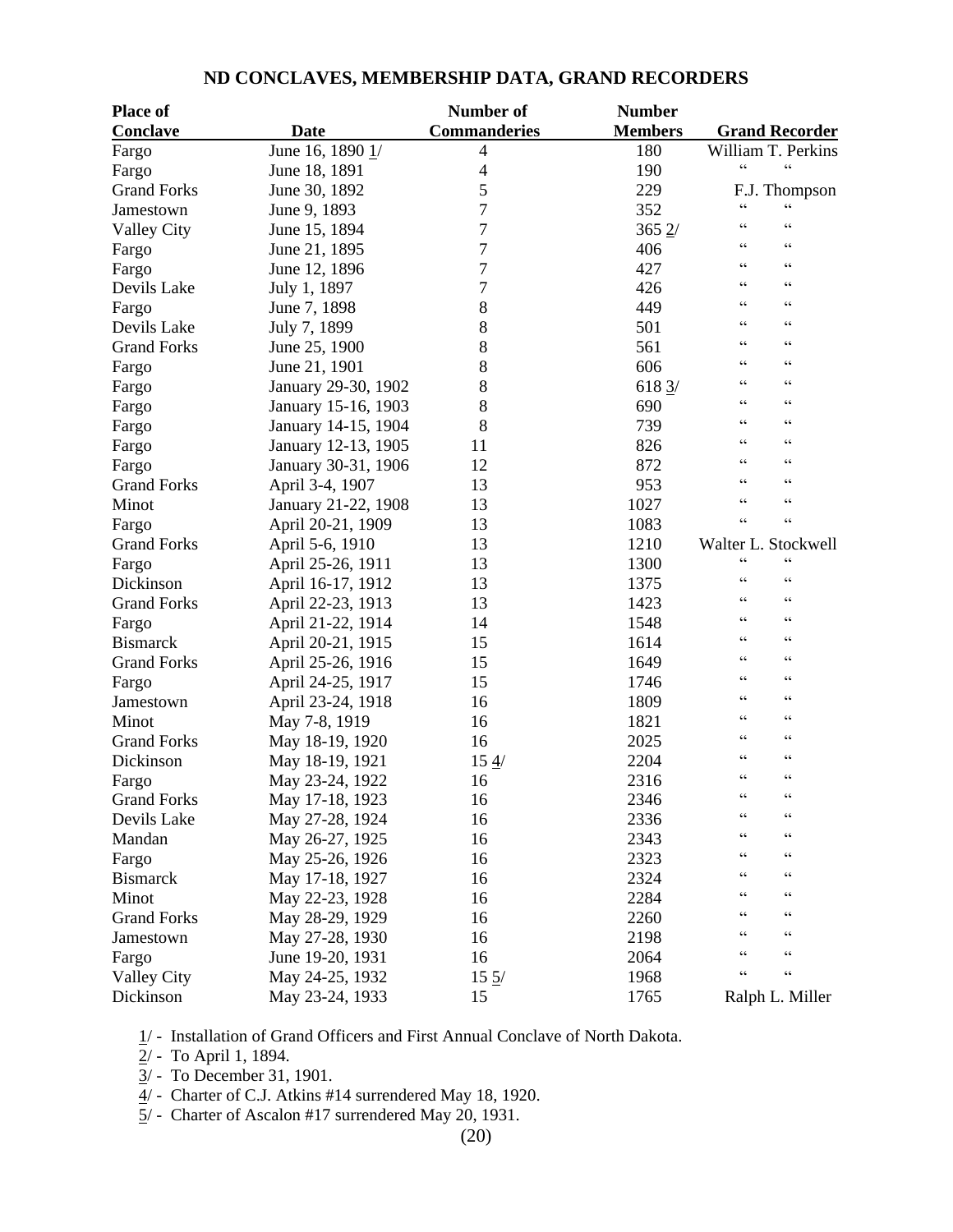| <b>Place of</b>    |                     | Number of                | <b>Number</b>     |                                      |
|--------------------|---------------------|--------------------------|-------------------|--------------------------------------|
| Conclave           | <b>Date</b>         | <b>Commanderies</b>      | <b>Members</b>    | <b>Grand Recorder</b>                |
| Fargo              | June 16, 1890 1/    | $\overline{4}$           | 180               | William T. Perkins                   |
| Fargo              | June 18, 1891       | $\overline{\mathcal{A}}$ | 190               | $\zeta$ $\zeta$<br>$\zeta$ $\zeta$   |
| <b>Grand Forks</b> | June 30, 1892       | 5                        | 229               | F.J. Thompson                        |
| Jamestown          | June 9, 1893        | 7                        | 352               | $\zeta\,\zeta$<br>$\epsilon$         |
| <b>Valley City</b> | June 15, 1894       | 7                        | $365 \frac{2}{3}$ | $\zeta$ $\zeta$<br>$\zeta$ $\zeta$   |
| Fargo              | June 21, 1895       | 7                        | 406               | $\zeta$ $\zeta$<br>$\zeta$ $\zeta$   |
| Fargo              | June 12, 1896       | 7                        | 427               | $\zeta$ $\zeta$<br>$\zeta$ $\zeta$   |
| Devils Lake        | July 1, 1897        | 7                        | 426               | $\zeta$ $\zeta$<br>C C               |
| Fargo              | June 7, 1898        | 8                        | 449               | $\zeta$ $\zeta$<br>$\zeta$ $\zeta$   |
| Devils Lake        | July 7, 1899        | 8                        | 501               | $\zeta$ $\zeta$<br>C C               |
| <b>Grand Forks</b> | June 25, 1900       | 8                        | 561               | $\zeta$ $\zeta$<br>C C               |
| Fargo              | June 21, 1901       | 8                        | 606               | $\zeta$ $\zeta$<br>$\zeta$ $\zeta$   |
| Fargo              | January 29-30, 1902 | 8                        | 618 3/            | $\zeta$ $\zeta$<br>$\zeta$ $\zeta$   |
| Fargo              | January 15-16, 1903 | 8                        | 690               | $\zeta$ $\zeta$<br>$\zeta$ $\zeta$   |
| Fargo              | January 14-15, 1904 | 8                        | 739               | $\zeta$ $\zeta$<br>$\zeta$ $\zeta$   |
| Fargo              | January 12-13, 1905 | 11                       | 826               | $\zeta$ $\zeta$<br>$\zeta$ $\zeta$   |
| Fargo              | January 30-31, 1906 | 12                       | 872               | $\zeta$ $\zeta$<br>C C               |
| <b>Grand Forks</b> | April 3-4, 1907     | 13                       | 953               | $\zeta$ $\zeta$<br>C                 |
| Minot              | January 21-22, 1908 | 13                       | 1027              | $\epsilon$<br>C                      |
| Fargo              | April 20-21, 1909   | 13                       | 1083              | $\zeta$ $\zeta$<br>$\zeta$ $\zeta$   |
| <b>Grand Forks</b> | April 5-6, 1910     | 13                       | 1210              | Walter L. Stockwell                  |
| Fargo              | April 25-26, 1911   | 13                       | 1300              | $\zeta$ $\zeta$<br>C                 |
| Dickinson          | April 16-17, 1912   | 13                       | 1375              | $\zeta$ $\zeta$<br>$\zeta$ $\zeta$   |
| <b>Grand Forks</b> | April 22-23, 1913   | 13                       | 1423              | $\zeta$ $\zeta$<br>$\zeta$ $\zeta$   |
| Fargo              | April 21-22, 1914   | 14                       | 1548              | $\zeta$ $\zeta$<br>$\zeta$ $\zeta$   |
| <b>Bismarck</b>    | April 20-21, 1915   | 15                       | 1614              | $\zeta$ $\zeta$<br>$\zeta$ $\zeta$   |
| <b>Grand Forks</b> | April 25-26, 1916   | 15                       | 1649              | $\zeta$ $\zeta$<br>C C               |
| Fargo              | April 24-25, 1917   | 15                       | 1746              | $\zeta$ $\zeta$<br>$\zeta$ $\zeta$   |
| Jamestown          | April 23-24, 1918   | 16                       | 1809              | $\zeta$ $\zeta$<br>C C               |
| Minot              | May 7-8, 1919       | 16                       | 1821              | $\zeta$ $\zeta$<br>$\zeta$ $\zeta$   |
| <b>Grand Forks</b> | May 18-19, 1920     | 16                       | 2025              | $\zeta$ $\zeta$<br>$\zeta$ $\zeta$   |
| Dickinson          | May 18-19, 1921     | 154/                     | 2204              | $\zeta$ $\zeta$<br>$\zeta$ $\zeta$   |
| Fargo              | May 23-24, 1922     | 16                       | 2316              | $\zeta$ $\zeta$<br>$\zeta$ $\zeta$   |
| <b>Grand Forks</b> | May 17-18, 1923     | 16                       | 2346              | $\zeta$ $\zeta$<br>$\zeta$ $\zeta$   |
| Devils Lake        | May 27-28, 1924     | 16                       | 2336              | $\zeta$ $\zeta$<br>$\zeta$ $\zeta$   |
| Mandan             | May 26-27, 1925     | 16                       | 2343              | $\zeta$ $\zeta$<br>C                 |
| Fargo              | May 25-26, 1926     | 16                       | 2323              | $\epsilon$<br>C                      |
| <b>Bismarck</b>    | May 17-18, 1927     | 16                       | 2324              | $\zeta$ $\zeta$<br>C                 |
| Minot              | May 22-23, 1928     | 16                       | 2284              | $\zeta$ $\zeta$<br>$\subset \subset$ |
| <b>Grand Forks</b> | May 28-29, 1929     | 16                       | 2260              | $\zeta$ $\zeta$<br>$\zeta$ $\zeta$   |
| Jamestown          | May 27-28, 1930     | 16                       | 2198              | $\zeta$ $\zeta$<br>$\subset \subset$ |
| Fargo              | June 19-20, 1931    | 16                       | 2064              | $\zeta$ $\zeta$<br>$\zeta$ $\zeta$   |
| <b>Valley City</b> | May 24-25, 1932     | $15 \frac{5}{1}$         | 1968              | $\zeta\,\zeta$<br>$\zeta$ $\zeta$    |
| Dickinson          | May 23-24, 1933     | 15                       | 1765              | Ralph L. Miller                      |
|                    |                     |                          |                   |                                      |

## **ND CONCLAVES, MEMBERSHIP DATA, GRAND RECORDERS**

1/ - Installation of Grand Officers and First Annual Conclave of North Dakota.

2/ - To April 1, 1894.

 $\overline{3}$ / - To December 31, 1901.

 $\frac{4}{1}$  - Charter of C.J. Atkins #14 surrendered May 18, 1920.

5/ - Charter of Ascalon #17 surrendered May 20, 1931.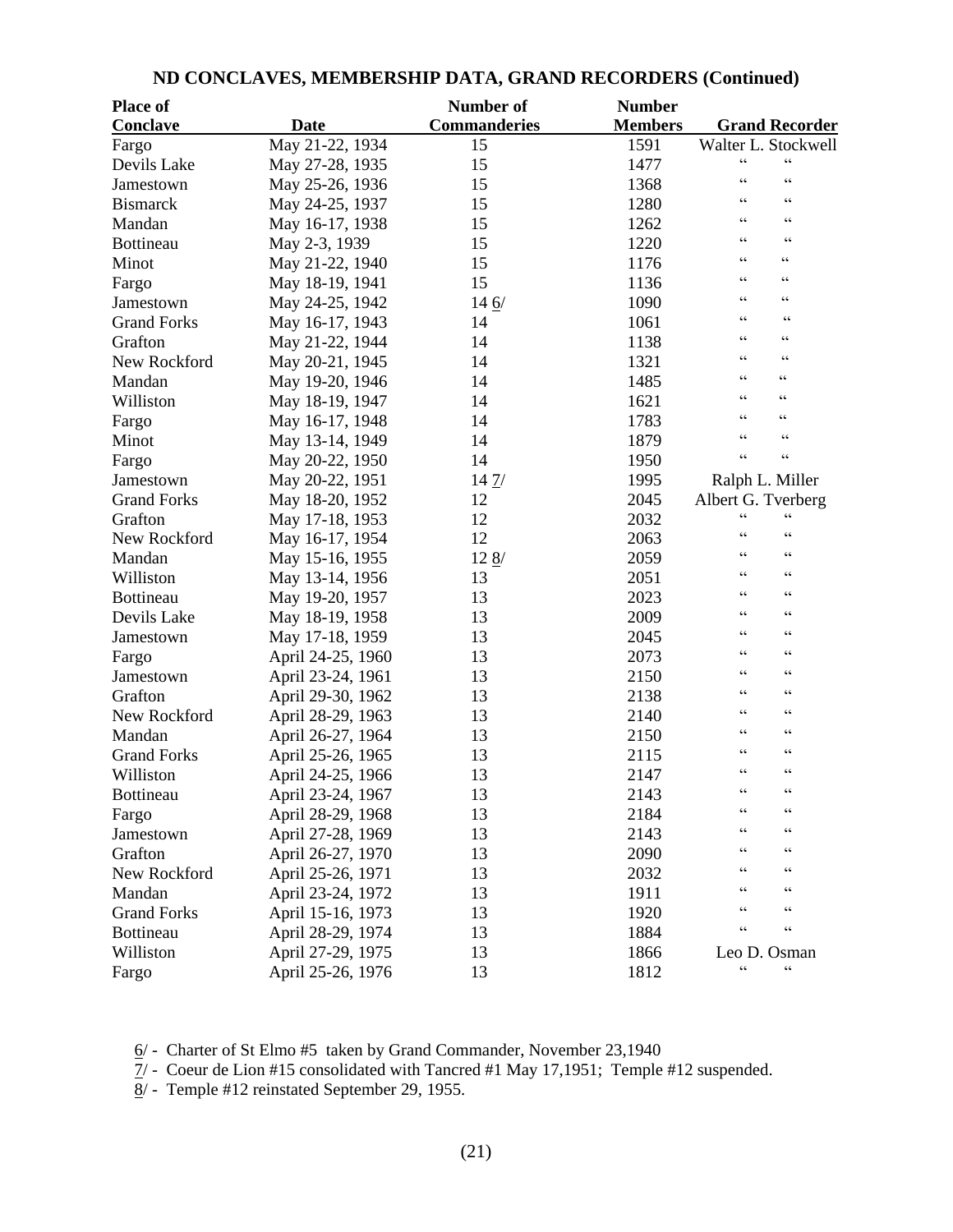| <b>Place of</b>    |                   | Number of           | <b>Number</b>  |                                      |
|--------------------|-------------------|---------------------|----------------|--------------------------------------|
| <b>Conclave</b>    | <b>Date</b>       | <b>Commanderies</b> | <b>Members</b> | <b>Grand Recorder</b>                |
| Fargo              | May 21-22, 1934   | 15                  | 1591           | Walter L. Stockwell                  |
| Devils Lake        | May 27-28, 1935   | 15                  | 1477           | $\zeta$ $\zeta$<br>$\zeta$ $\zeta$   |
| Jamestown          | May 25-26, 1936   | 15                  | 1368           | $\zeta$ $\zeta$<br>$\zeta$ $\zeta$   |
| <b>Bismarck</b>    | May 24-25, 1937   | 15                  | 1280           | $\zeta$ $\zeta$<br>$\zeta$ $\zeta$   |
| Mandan             | May 16-17, 1938   | 15                  | 1262           | $\zeta$ $\zeta$<br>$\zeta$ $\zeta$   |
| Bottineau          | May 2-3, 1939     | 15                  | 1220           | $\zeta$ $\zeta$<br>$\zeta$ $\zeta$   |
| Minot              | May 21-22, 1940   | 15                  | 1176           | $\zeta$ $\zeta$<br>$\zeta$ $\zeta$   |
| Fargo              | May 18-19, 1941   | 15                  | 1136           | $\zeta$ $\zeta$<br>$\zeta$ $\zeta$   |
| Jamestown          | May 24-25, 1942   | 146/                | 1090           | $\zeta$ $\zeta$<br>$\zeta$ $\zeta$   |
| <b>Grand Forks</b> | May 16-17, 1943   | 14                  | 1061           | $\zeta$ $\zeta$<br>$\zeta$ $\zeta$   |
| Grafton            | May 21-22, 1944   | 14                  | 1138           | $\zeta$ $\zeta$<br>$\zeta$ $\zeta$   |
| New Rockford       | May 20-21, 1945   | 14                  | 1321           | $\zeta$ $\zeta$<br>$\zeta$ $\zeta$   |
| Mandan             | May 19-20, 1946   | 14                  | 1485           | $\zeta$ $\zeta$<br>$\zeta$ $\zeta$   |
| Williston          | May 18-19, 1947   | 14                  | 1621           | $\zeta$ $\zeta$<br>$\zeta$ $\zeta$   |
| Fargo              | May 16-17, 1948   | 14                  | 1783           | $\zeta$ $\zeta$<br>$\zeta$ $\zeta$   |
| Minot              | May 13-14, 1949   | 14                  | 1879           | $\zeta$ $\zeta$<br>$\zeta$ $\zeta$   |
| Fargo              | May 20-22, 1950   | 14                  | 1950           | $\zeta$ $\zeta$<br>$\zeta$ $\zeta$   |
| Jamestown          | May 20-22, 1951   | 14 7/               | 1995           | Ralph L. Miller                      |
| <b>Grand Forks</b> | May 18-20, 1952   | 12                  | 2045           | Albert G. Tverberg                   |
| Grafton            | May 17-18, 1953   | 12                  | 2032           | $\zeta$ $\zeta$<br>$\zeta$ $\zeta$   |
| New Rockford       | May 16-17, 1954   | 12                  | 2063           | $\zeta$ $\zeta$<br>$\zeta$ $\zeta$   |
| Mandan             | May 15-16, 1955   | $12 \frac{8}{1}$    | 2059           | $\zeta$ $\zeta$<br>$\zeta$ $\zeta$   |
| Williston          | May 13-14, 1956   | 13                  | 2051           | $\zeta$ $\zeta$<br>$\zeta$ $\zeta$   |
| Bottineau          | May 19-20, 1957   | 13                  | 2023           | $\zeta$ $\zeta$<br>$\zeta$ $\zeta$   |
| Devils Lake        | May 18-19, 1958   | 13                  | 2009           | $\zeta$ $\zeta$<br>$\zeta$ $\zeta$   |
| Jamestown          | May 17-18, 1959   | 13                  | 2045           | $\zeta$ $\zeta$<br>$\zeta$ $\zeta$   |
| Fargo              | April 24-25, 1960 | 13                  | 2073           | $\zeta$ $\zeta$<br>$\zeta$ $\zeta$   |
| Jamestown          | April 23-24, 1961 | 13                  | 2150           | $\zeta$ $\zeta$<br>$\epsilon$        |
| Grafton            | April 29-30, 1962 | 13                  | 2138           | $\zeta$ $\zeta$<br>$\zeta$ $\zeta$   |
| New Rockford       | April 28-29, 1963 | 13                  | 2140           | $\zeta$ $\zeta$<br>$\zeta$ $\zeta$   |
| Mandan             | April 26-27, 1964 | 13                  | 2150           | $\zeta$ $\zeta$<br>$\subset \subset$ |
| <b>Grand Forks</b> | April 25-26, 1965 | 13                  | 2115           | $\zeta$ $\zeta$<br>$\zeta$ $\zeta$   |
| Williston          | April 24-25, 1966 | 13                  | 2147           | $\zeta\,\zeta$<br>$\zeta$ $\zeta$    |
| Bottineau          | April 23-24, 1967 | 13                  | 2143           | $\zeta$ $\zeta$<br>$\zeta$ $\zeta$   |
| Fargo              | April 28-29, 1968 | 13                  | 2184           | $\zeta$ $\zeta$<br>$\zeta$ $\zeta$   |
| Jamestown          | April 27-28, 1969 | 13                  | 2143           | $\zeta$ $\zeta$<br>$\zeta$ $\zeta$   |
| Grafton            | April 26-27, 1970 | 13                  | 2090           | $\zeta$ $\zeta$<br>C                 |
| New Rockford       | April 25-26, 1971 | 13                  | 2032           | $\subset \subset$<br>C               |
| Mandan             | April 23-24, 1972 | 13                  | 1911           | $\zeta$ $\zeta$<br>$\zeta$ $\zeta$   |
| <b>Grand Forks</b> | April 15-16, 1973 | 13                  | 1920           | $\zeta$ $\zeta$<br>$\zeta$ $\zeta$   |
| <b>Bottineau</b>   | April 28-29, 1974 | 13                  | 1884           | $\zeta$ $\zeta$<br>$\zeta$ $\zeta$   |
| Williston          | April 27-29, 1975 | 13                  | 1866           | Leo D. Osman                         |
| Fargo              | April 25-26, 1976 | 13                  | 1812           | $\zeta$ $\zeta$<br>$\zeta\,\zeta$    |

## **ND CONCLAVES, MEMBERSHIP DATA, GRAND RECORDERS (Continued)**

6/ - Charter of St Elmo #5 taken by Grand Commander, November 23,1940

 $\overline{7}/$  - Coeur de Lion #15 consolidated with Tancred #1 May 17,1951; Temple #12 suspended.

 $\frac{8}{2}$  - Temple #12 reinstated September 29, 1955.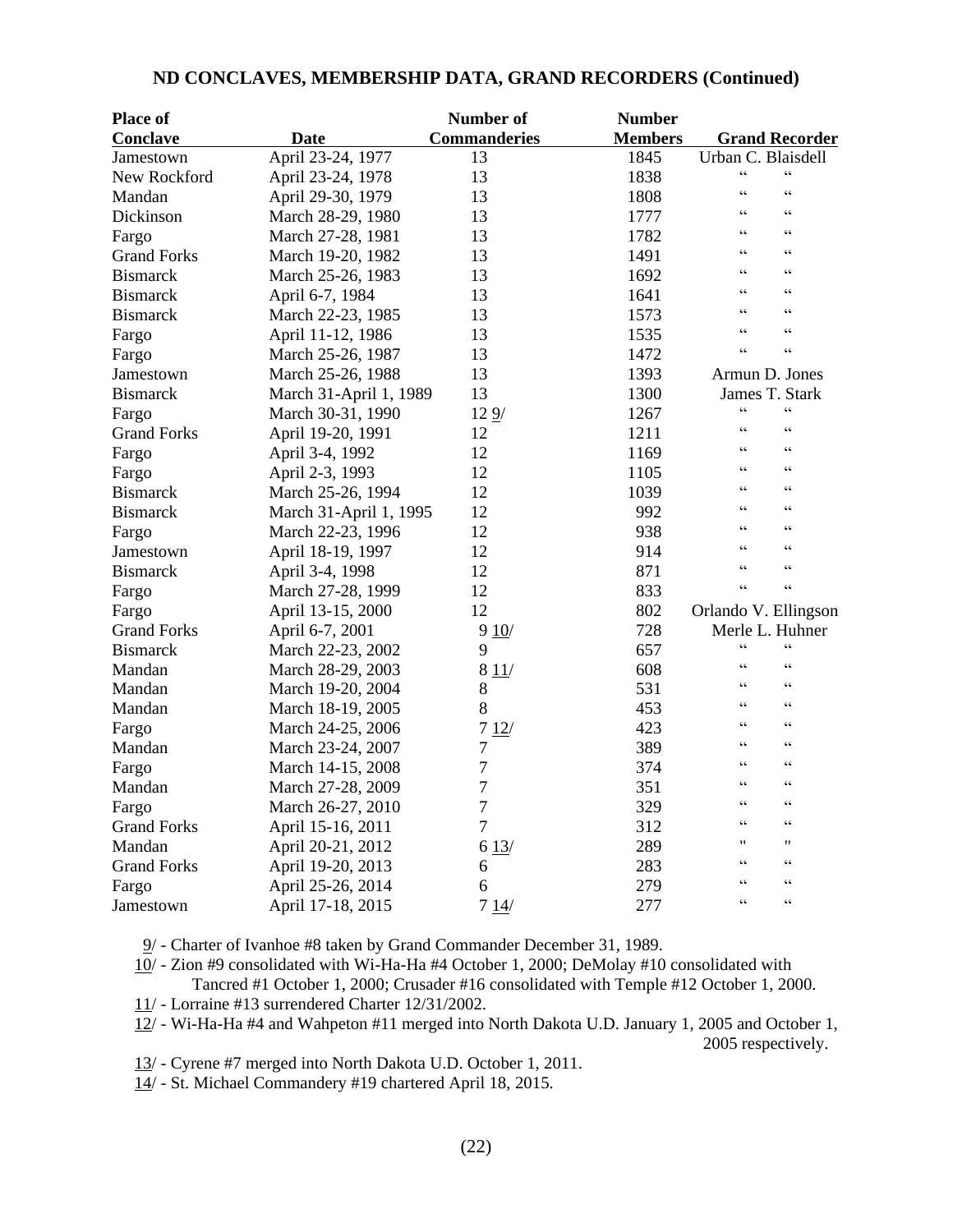| <b>Place of</b>    |                        | Number of           | <b>Number</b>  |                                                                     |
|--------------------|------------------------|---------------------|----------------|---------------------------------------------------------------------|
| <b>Conclave</b>    | Date                   | <b>Commanderies</b> | <b>Members</b> | <b>Grand Recorder</b>                                               |
| Jamestown          | April 23-24, 1977      | 13                  | 1845           | Urban C. Blaisdell                                                  |
| New Rockford       | April 23-24, 1978      | 13                  | 1838           | $\boldsymbol{\varsigma}$ $\boldsymbol{\varsigma}$<br>$\zeta\,\zeta$ |
| Mandan             | April 29-30, 1979      | 13                  | 1808           | $\epsilon$<br>$\epsilon$                                            |
| Dickinson          | March 28-29, 1980      | 13                  | 1777           | $\epsilon$<br>C C                                                   |
| Fargo              | March 27-28, 1981      | 13                  | 1782           | $\epsilon$<br>$\zeta$ $\zeta$                                       |
| <b>Grand Forks</b> | March 19-20, 1982      | 13                  | 1491           | $\zeta$ $\zeta$<br>$\zeta$ $\zeta$                                  |
| <b>Bismarck</b>    | March 25-26, 1983      | 13                  | 1692           | $\epsilon$<br>$\epsilon$                                            |
| <b>Bismarck</b>    | April 6-7, 1984        | 13                  | 1641           | $\zeta$ $\zeta$<br>$\zeta$ $\zeta$                                  |
| <b>Bismarck</b>    | March 22-23, 1985      | 13                  | 1573           | $\epsilon$<br>$\epsilon$                                            |
| Fargo              | April 11-12, 1986      | 13                  | 1535           | $\epsilon$<br>$\epsilon$                                            |
| Fargo              | March 25-26, 1987      | 13                  | 1472           | $\zeta$ $\zeta$<br>$\epsilon$                                       |
| Jamestown          | March 25-26, 1988      | 13                  | 1393           | Armun D. Jones                                                      |
| <b>Bismarck</b>    | March 31-April 1, 1989 | 13                  | 1300           | James T. Stark                                                      |
| Fargo              | March 30-31, 1990      | 129/                | 1267           | $\zeta\,\zeta$<br>$\zeta\,\zeta$                                    |
| <b>Grand Forks</b> | April 19-20, 1991      | 12                  | 1211           | $\zeta$ $\zeta$<br>$\epsilon$                                       |
| Fargo              | April 3-4, 1992        | 12                  | 1169           | $\zeta\,\zeta$<br>$\zeta\,\zeta$                                    |
| Fargo              | April 2-3, 1993        | 12                  | 1105           | $\epsilon$<br>$\epsilon$                                            |
| <b>Bismarck</b>    | March 25-26, 1994      | 12                  | 1039           | $\zeta$ $\zeta$<br>$\zeta$ $\zeta$                                  |
| <b>Bismarck</b>    | March 31-April 1, 1995 | 12                  | 992            | $\epsilon$<br>$\epsilon$                                            |
| Fargo              | March 22-23, 1996      | 12                  | 938            | $\epsilon$<br>$\zeta$ $\zeta$                                       |
| Jamestown          | April 18-19, 1997      | 12                  | 914            | $\zeta\,\zeta$<br>$\epsilon$                                        |
| <b>Bismarck</b>    | April 3-4, 1998        | 12                  | 871            | $\epsilon$<br>$\epsilon$                                            |
| Fargo              | March 27-28, 1999      | 12                  | 833            | $\zeta\,\zeta$<br>$\zeta$                                           |
| Fargo              | April 13-15, 2000      | 12                  | 802            | Orlando V. Ellingson                                                |
| <b>Grand Forks</b> | April 6-7, 2001        | 910/                | 728            | Merle L. Huhner                                                     |
| <b>Bismarck</b>    | March 22-23, 2002      | 9                   | 657            | $\zeta$ $\zeta$<br>$\epsilon$                                       |
| Mandan             | March 28-29, 2003      | 811/                | 608            | $\epsilon$<br>$\epsilon$                                            |
| Mandan             | March 19-20, 2004      | $8\,$               | 531            | $\epsilon$<br>$\zeta$ $\zeta$                                       |
| Mandan             | March 18-19, 2005      | 8                   | 453            | $\zeta\,\zeta$<br>$\zeta$ $\zeta$                                   |
| Fargo              | March 24-25, 2006      | 712/                | 423            | $\zeta$ $\zeta$<br>$\epsilon$                                       |
| Mandan             | March 23-24, 2007      | 7                   | 389            | $\zeta\,\zeta$<br>$\zeta$ $\zeta$                                   |
| Fargo              | March 14-15, 2008      | 7                   | 374            | $\zeta$ $\zeta$<br>$\epsilon$                                       |
| Mandan             | March 27-28, 2009      | 7                   | 351            | $\epsilon$<br>$\zeta$ $\zeta$                                       |
| Fargo              | March 26-27, 2010      | $\tau$              | 329            | $\zeta$ $\zeta$<br>$\epsilon$                                       |
| <b>Grand Forks</b> | April 15-16, 2011      | 7                   | 312            | $\zeta \zeta$<br>$\epsilon$                                         |
| Mandan             | April 20-21, 2012      | 613/                | 289            | 11<br>$^{\prime\prime}$                                             |
| <b>Grand Forks</b> | April 19-20, 2013      | 6                   | 283            | $\zeta\,\zeta$<br>$\zeta$ $\zeta$                                   |
| Fargo              | April 25-26, 2014      | 6                   | 279            | $\epsilon$<br>C                                                     |
| Jamestown          | April 17-18, 2015      | 714/                | 277            | $\zeta\,\zeta$<br>$\zeta$ $\zeta$                                   |

## **ND CONCLAVES, MEMBERSHIP DATA, GRAND RECORDERS (Continued)**

9/ - Charter of Ivanhoe #8 taken by Grand Commander December 31, 1989.

 $10/$  - Zion #9 consolidated with Wi-Ha-Ha #4 October 1, 2000; DeMolay #10 consolidated with

Tancred #1 October 1, 2000; Crusader #16 consolidated with Temple #12 October 1, 2000.

11/ - Lorraine #13 surrendered Charter 12/31/2002.

12/ - Wi-Ha-Ha #4 and Wahpeton #11 merged into North Dakota U.D. January 1, 2005 and October 1, 2005 respectively.

13/ - Cyrene #7 merged into North Dakota U.D. October 1, 2011.

14/ - St. Michael Commandery #19 chartered April 18, 2015.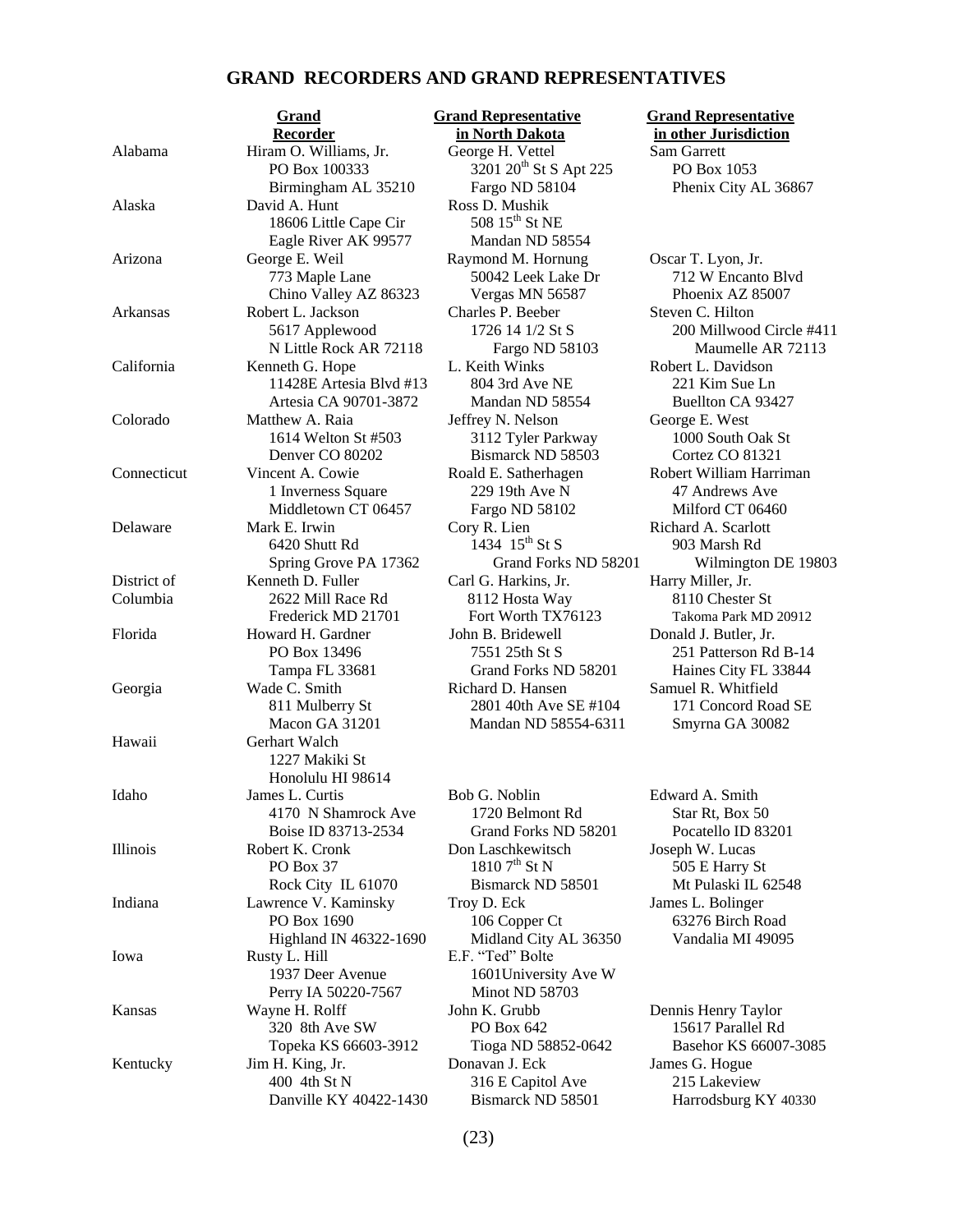## **GRAND RECORDERS AND GRAND REPRESENTATIVES**

|             | Recorder                | ın   |
|-------------|-------------------------|------|
| Alabama     | Hiram O. Williams, Jr.  | Gec  |
|             | PO Box 100333           |      |
|             | Birmingham AL 35210     |      |
| Alaska      | David A. Hunt           | Ros  |
|             | 18606 Little Cape Cir   |      |
|             | Eagle River AK 99577    |      |
| Arizona     | George E. Weil          | Ray  |
|             | 773 Maple Lane          |      |
|             | Chino Valley AZ 86323   |      |
|             |                         |      |
| Arkansas    | Robert L. Jackson       | Cha  |
|             | 5617 Applewood          |      |
|             | N Little Rock AR 72118  |      |
| California  | Kenneth G. Hope         | L. F |
|             | 11428E Artesia Blvd #13 |      |
|             | Artesia CA 90701-3872   |      |
| Colorado    | Matthew A. Raia         | Jeff |
|             | 1614 Welton St #503     |      |
|             | Denver CO 80202         |      |
| Connecticut | Vincent A. Cowie        | Roa  |
|             | 1 Inverness Square      |      |
|             | Middletown CT 06457     |      |
|             |                         |      |
| Delaware    | Mark E. Irwin           | Cor  |
|             | 6420 Shutt Rd           |      |
|             | Spring Grove PA 17362   |      |
| District of | Kenneth D. Fuller       | Car  |
| Columbia    | 2622 Mill Race Rd       | ş    |
|             | Frederick MD 21701      | ı    |
| Florida     | Howard H. Gardner       | Joh  |
|             | PO Box 13496            |      |
|             | Tampa FL 33681          |      |
| Georgia     | Wade C. Smith           | Ricl |
|             | 811 Mulberry St         |      |
|             |                         |      |
|             | Macon GA 31201          |      |
| Hawaii      | Gerhart Walch           |      |
|             | 1227 Makiki St          |      |
|             | Honolulu HI 98614       |      |
| Idaho       | James L. Curtis         | Bob  |
|             | 4170 N Shamrock Ave     |      |
|             | Boise ID 83713-2534     |      |
| Illinois    | Robert K. Cronk         | Dor  |
|             | PO Box 37               |      |
|             | Rock City IL 61070      |      |
| Indiana     | Lawrence V. Kaminsky    | Tro  |
|             | PO Box 1690             |      |
|             |                         |      |
|             | Highland IN 46322-1690  |      |
| Iowa        | Rusty L. Hill           | E.F  |
|             | 1937 Deer Avenue        |      |
|             | Perry IA 50220-7567     |      |
| Kansas      | Wayne H. Rolff          | Joh  |
|             | 320 8th Ave SW          |      |
|             | Topeka KS 66603-3912    |      |
| Kentucky    | Jim H. King, Jr.        | Dor  |
|             | 400 4th St N            |      |
|             | Danville KY 40422-1430  |      |
|             |                         |      |
|             |                         |      |

**<u>Grand Grand Representative</u> Grand Representative** 

Alabama Hiram D. Sam Garrett  $3201\ 20^{th}$  St S Apt 225 PO Box 1053 Fargo ND 58104 Phenix City AL 36867 Alaska David A. Hunt Ross D. Mushik  $508\ 15^{\text{th}}$  St NE Mandan ND 58554  $A$ <sub>r</sub> Franco M. Hornung  $B$  **Oscar T. Lyon, Jr.** Vergas MN 56587 Phoenix AZ 85007 arles P. Beeber Steven C. Hilton California Keith Winks **Robert L. Davidson** 804 3rd Ave NE 221 Kim Sue Ln Mandan ND 58554 Buellton CA 93427 Frey N. Nelson George E. West 3112 Tyler Parkway 1000 South Oak St Bismarck ND 58503 Cortez CO 81321 229 19th Ave N 47 Andrews Ave Fargo ND 58102 Milford CT 06460 v R. Lien Richard A. Scarlott 1434  $15^{th}$  St S 903 Marsh Rd d. Harkins, Jr. **Harry Miller**, Jr. 8112 Hosta Way 8110 Chester St n B. Bridewell Donald J. Butler, Jr. hard D. Hansen Samuel R. Whitfield

1720 Belmont Rd Star Rt, Box 50 Grand Forks ND 58201 Pocatello ID 83201 n Laschkewitsch Joseph W. Lucas  $\overline{505}$  E Harry St N  $\overline{505}$  E Harry St Indiana L. Bolinger 106 Copper Ct 63276 Birch Road Midland City AL 36350 Vandalia MI 49095 "Ted" Bolte 1601 University Ave W Minot ND 58703 n K. Grubb Dennis Henry Taylor PO Box 642 15617 Parallel Rd hentucky James G. Hogue 316 E Capitol Ave 215 Lakeview

# **North Dakota in other Jurisdiction**

50042 Leek Lake Dr 712 W Encanto Blvd 1726 14 1/2 St S 200 Millwood Circle #411 Fargo ND 58103 Maumelle AR 72113 dd E. Satherhagen Robert William Harriman Grand Forks ND 58201 Wilmington DE 19803 Fort Worth TX76123 Takoma Park MD 20912 7551 25th St S 251 Patterson Rd B-14 Grand Forks ND 58201 Haines City FL 33844 2801 40th Ave SE #104 171 Concord Road SE Mandan ND 58554-6311 Smyrna GA 30082

o G. Noblin Edward A. Smith Bismarck ND 58501 Mt Pulaski IL 62548

Tioga ND 58852-0642 Basehor KS 66007-3085 Bismarck ND 58501 Harrodsburg KY 40330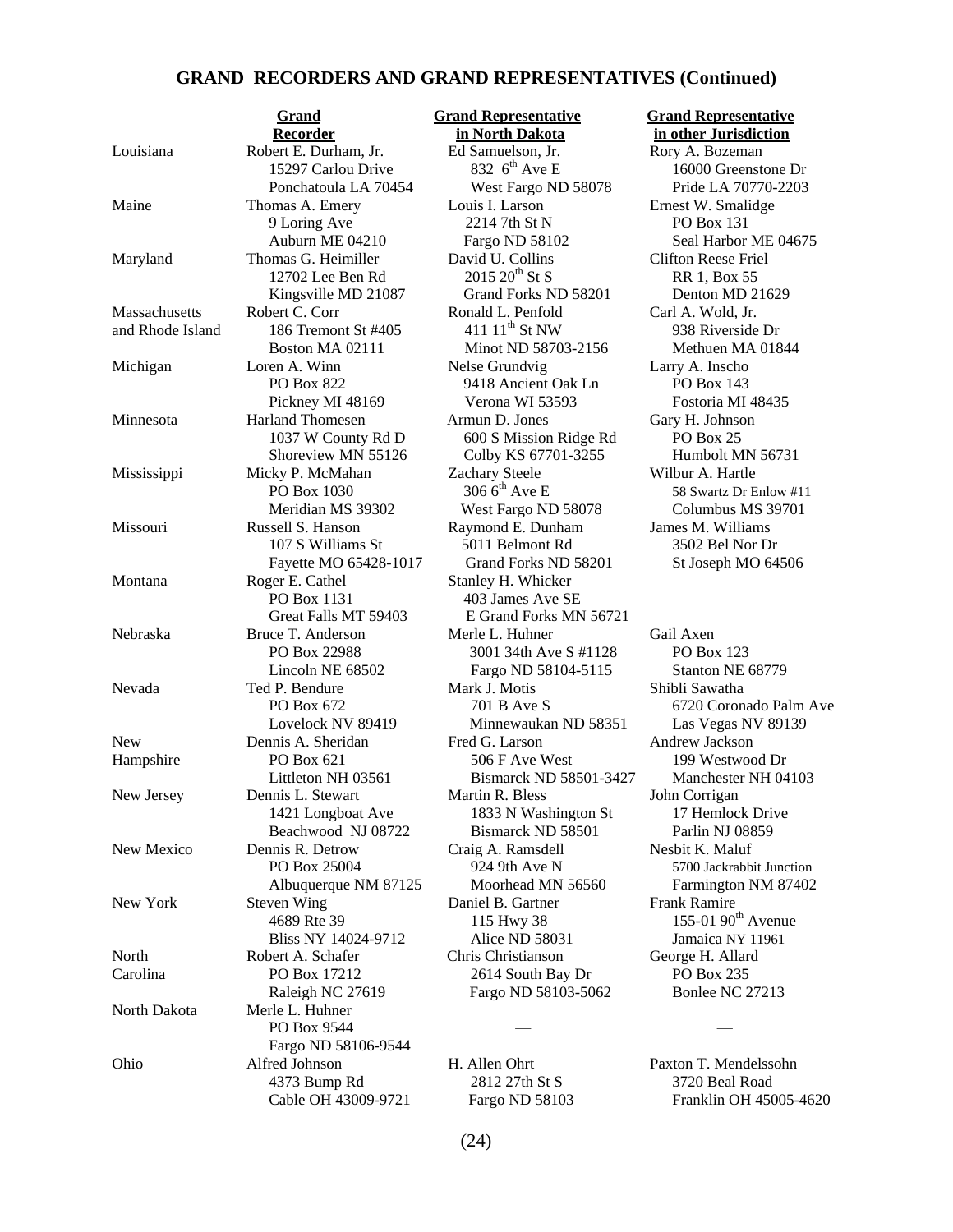### **GRAND RECORDERS AND GRAND REPRESENTATIVES (Continued)**

Louisiana Robert E. Durham, Jr. Ed Samuelson, Jr. Rory A. Bozeman Maine Thomas A. Emery Louis I. Larson Ernest W. Smalidge Maryland Thomas G. Heimiller David U. Collins Clifton Reese Friel Massachusetts Robert C. Corr Ronald L. Penfold Carl A. Wold, Jr. and Rhode Island 186 Tremont St #405 411 11<sup>th</sup> St NW 938 Riverside Dr Michigan Loren A. Winn Nelse Grundvig Larry A. Inscho Minnesota Harland Thomesen Armun D. Jones Gary H. Johnson Mississippi Micky P. McMahan Zachary Steele Wilbur A. Hartle<br>PO Box 1030 306 6<sup>th</sup> Ave E 58 Swartz Dr E Missouri Russell S. Hanson Raymond E. Dunham James M. Williams Montana Roger E. Cathel Stanley H. Whicker PO Box 1131 403 James Ave SE Nebraska Bruce T. Anderson Merle L. Huhner Gail Axen Nevada Ted P. Bendure Mark J. Motis Shibli Sawatha New Dennis A. Sheridan Fred G. Larson Andrew Jackson Hampshire PO Box 621 506 F Ave West 199 Westwood Dr New Jersey Dennis L. Stewart Martin R. Bless John Corrigan New Mexico Dennis R. Detrow Craig A. Ramsdell Nesbit K. Maluf New York Steven Wing Daniel B. Gartner Frank Ramire North Robert A. Schafer Chris Christianson George H. Allard Carolina PO Box 17212 2614 South Bay Dr PO Box 235 North Dakota Merle L. Huhner PO Box 9544 Fargo ND 58106-9544 Ohio Alfred Johnson H. Allen Ohrt Paxton T. Mendelssohn 4373 Bump Rd 2812 27th St S 3720 Beal Road

**Recorder in North Dakota** in other Jurisdiction 15297 Carlou Drive 832 6<sup>th</sup> Ave E 16000 Greenstone Dr Ponchatoula LA 70454 West Fargo ND 58078 Pride LA 70770-2203 9 Loring Ave 2214 7th St N PO Box 131<br>
Auburn ME 04210 Fargo ND 58102 Seal Harbor 12702 Lee Ben Rd  $2015\ 20^{th}$  St S RR 1, Box 55 Kingsville MD 21087 Grand Forks ND 58201 Denton MD 21629 Boston MA 02111 Minot ND 58703-2156 Methuen MA 01844 PO Box 822 9418 Ancient Oak Ln PO Box 143 Pickney MI 48169 Verona WI 53593 Fostoria MI 48435 1037 W County Rd D 600 S Mission Ridge Rd PO Box 25 Shoreview MN 55126 Colby KS 67701-3255 Humbolt MN 56731 PO Box 1030 306  $6<sup>th</sup>$  Ave E 58 Swartz Dr Enlow #11 Meridian MS 39302 West Fargo ND 58078 Columbus MS 39701 107 S Williams St 5011 Belmont Rd 3502 Bel Nor Dr Fayette MO 65428-1017 Grand Forks ND 58201 St Joseph MO 64506 Great Falls MT 59403 E Grand Forks MN 56721 PO Box 22988 3001 34th Ave S #1128 PO Box 123 Lincoln NE 68502 Fargo ND 58104-5115 Stanton NE 68779 PO Box 672 701 B Ave S 6720 Coronado Palm Ave Lovelock NV 89419 Minnewaukan ND 58351 Las Vegas NV 89139 Littleton NH 03561 Bismarck ND 58501-3427 Manchester NH 04103 1421 Longboat Ave 1833 N Washington St 17 Hemlock Drive Beachwood NJ 08722 Bismarck ND 58501 Parlin NJ 08859 PO Box 25004 924 9th Ave N 5700 Jackrabbit Junction<br>Albuquerque NM 87125 Moorhead MN 56560 Farmington NM 87402 Albuquerque NM 87125 Moorhead MN 56560 Farmington NM 87402 4689 Rte 39 115 Hwy 38 155-01 90<sup>th</sup> Avenue Bliss NY 14024-9712 Alice ND 58031 Jamaica NY 11961 Raleigh NC 27619 Fargo ND 58103-5062 Bonlee NC 27213

# **Grand Grand Representative Grand Representative**

Fargo ND 58102 Seal Harbor ME 04675

Cable OH 43009-9721 Fargo ND 58103 Franklin OH 45005-4620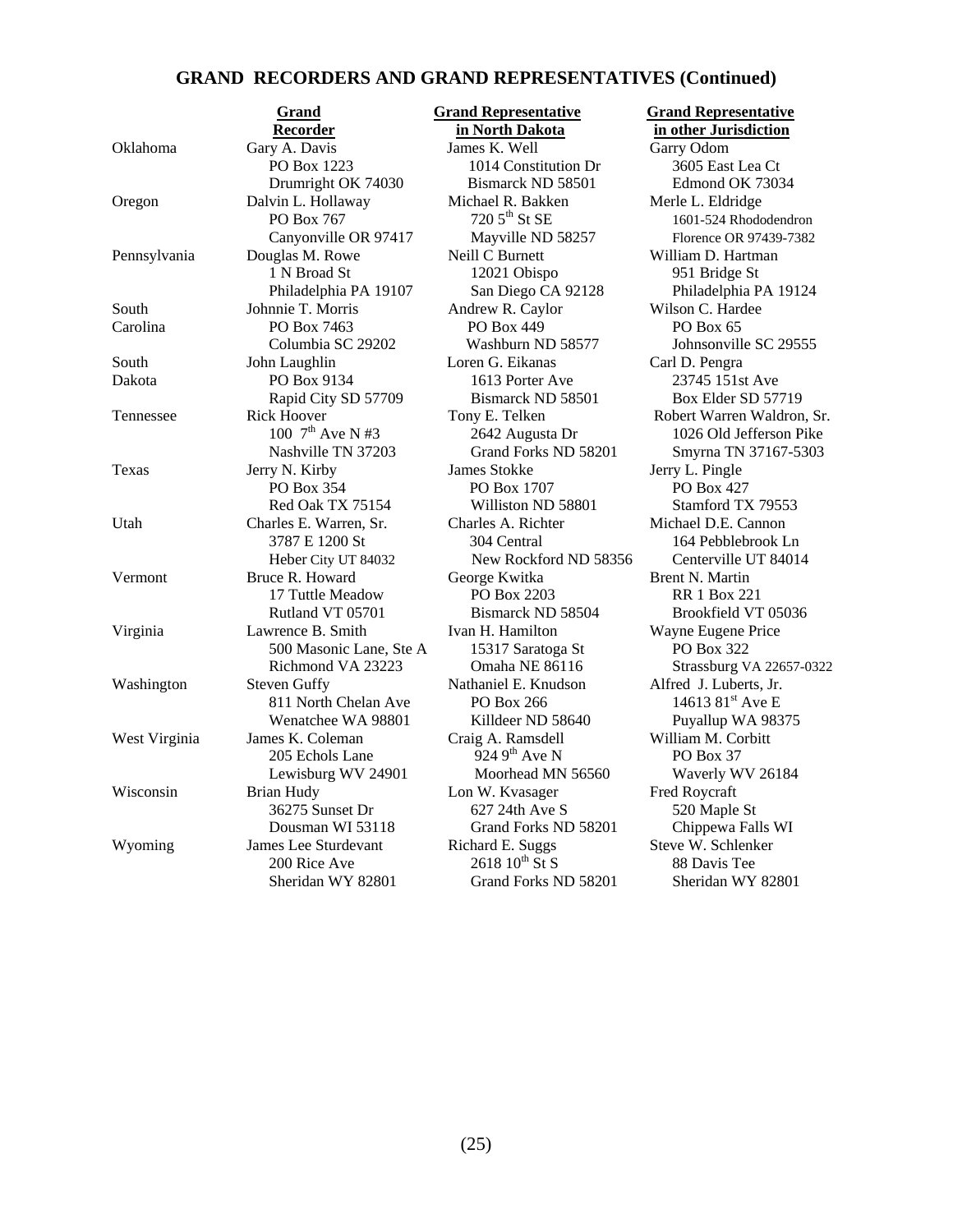## **GRAND RECORDERS AND GRAND REPRESENTATIVES (Continued)**

|               | <u>kecoruer</u>             |  |
|---------------|-----------------------------|--|
| Oklahoma      | Gary A. Davis               |  |
|               | PO Box 1223                 |  |
|               | Drumright OK 74030          |  |
| Oregon        | Dalvin L. Hollaway          |  |
|               | PO Box 767                  |  |
|               | Canyonville OR 97417        |  |
| Pennsylvania  | Douglas M. Rowe             |  |
|               | 1 N Broad St                |  |
|               | Philadelphia PA 19107       |  |
| South         | Johnnie T. Morris           |  |
| Carolina      | PO Box 7463                 |  |
|               | Columbia SC 29202           |  |
| South         | John Laughlin               |  |
| Dakota        | PO Box 9134                 |  |
|               | Rapid City SD 57709         |  |
| Tennessee     | <b>Rick Hoover</b>          |  |
|               | 100 $7^{th}$ Ave N #3       |  |
|               | Nashville TN 37203          |  |
| Texas         | Jerry N. Kirby              |  |
|               | <b>PO Box 354</b>           |  |
|               | Red Oak TX 75154            |  |
| Utah          | Charles E. Warren, Sr.      |  |
|               | 3787 E 1200 St              |  |
|               | Heber City UT 84032         |  |
| Vermont       | Bruce R. Howard             |  |
|               | 17 Tuttle Meadow            |  |
|               | Rutland VT 05701            |  |
| Virginia      | Lawrence B. Smith           |  |
|               | 500 Masonic Lane, Ste A     |  |
|               | Richmond VA 23223           |  |
| Washington    | <b>Steven Guffy</b>         |  |
|               | 811 North Chelan Ave        |  |
|               | Wenatchee WA 98801          |  |
| West Virginia | James K. Coleman            |  |
|               | 205 Echols Lane             |  |
|               | Lewisburg WV 24901          |  |
| Wisconsin     | <b>Brian Hudy</b>           |  |
|               | 36275 Sunset Dr             |  |
|               | Dousman WI 53118            |  |
| Wyoming       | <b>James Lee Sturdevant</b> |  |
|               | 200 Rice Ave                |  |
|               | Sheridan WY 82801           |  |
|               |                             |  |

James K. Well Garry Odom 1014 Constitution Dr 3605 East Lea Ct Bismarck ND 58501 Edmond OK 73034 Michael R. Bakken Merle L. Eldridge  $720\,5^{\text{th}}$  St SE  $1601-524$  Rhododendron Mayville ND 58257 Florence OR 97439-7382 Peill C Burnett William D. Hartman 1 2021 Obispo 951 Bridge St Andrew R. Caylor Wilson C. Hardee PO Box 449 PO Box 65 Loren G. Eikanas Carl D. Pengra 1613 Porter Ave 23745 151st Ave Bismarck ND 58501 Box Elder SD 57719 James Stokke Jerry L. Pingle PO Box 1707 PO Box 427 Williston ND 58801 Stamford TX 79553 Charles A. Richter Michael D.E. Cannon New Rockford ND 58356 George Kwitka Brent N. Martin PO Box 2203 RR 1 Box 221 Ivan H. Hamilton Wayne Eugene Price 15317 Saratoga St<br>PO Box 322 Nathaniel E. Knudson Alfred J. Luberts, Jr.  $1461381<sup>st</sup>$  Ave E Killdeer ND 58640 Puyallup WA 98375 Craig A. Ramsdell William M. Corbitt  $9249^{\text{th}}$  Ave N PO Box 37 Moorhead MN 56560 Waverly WV 26184 Lon W. Kvasager Fred Roycraft 627 24th Ave S 520 Maple St Grand Forks ND 58201 Chippewa Falls WI Richard E. Suggs Steve W. Schlenker  $2618\,10^{\text{th}}\,\text{St}\,\text{S}$  88 Davis Tee Grand Forks ND 58201 Sheridan WY 82801

 **Grand Grand Representative Grand Representative in North Dakota in other Jurisdiction** 

San Diego CA 92128 Philadelphia PA 19124 Washburn ND 58577 Johnsonville SC 29555 Tony E. Telken Robert Warren Waldron, Sr. 2642 Augusta Dr 1026 Old Jefferson Pike Grand Forks ND 58201 Smyrna TN 37167-5303 304 Central 164 Pebblebrook Ln<br>New Rockford ND 58356 Centerville UT 84014 Bismarck ND 58504 Brookfield VT 05036 Omaha NE 86116 Strassburg VA 22657-0322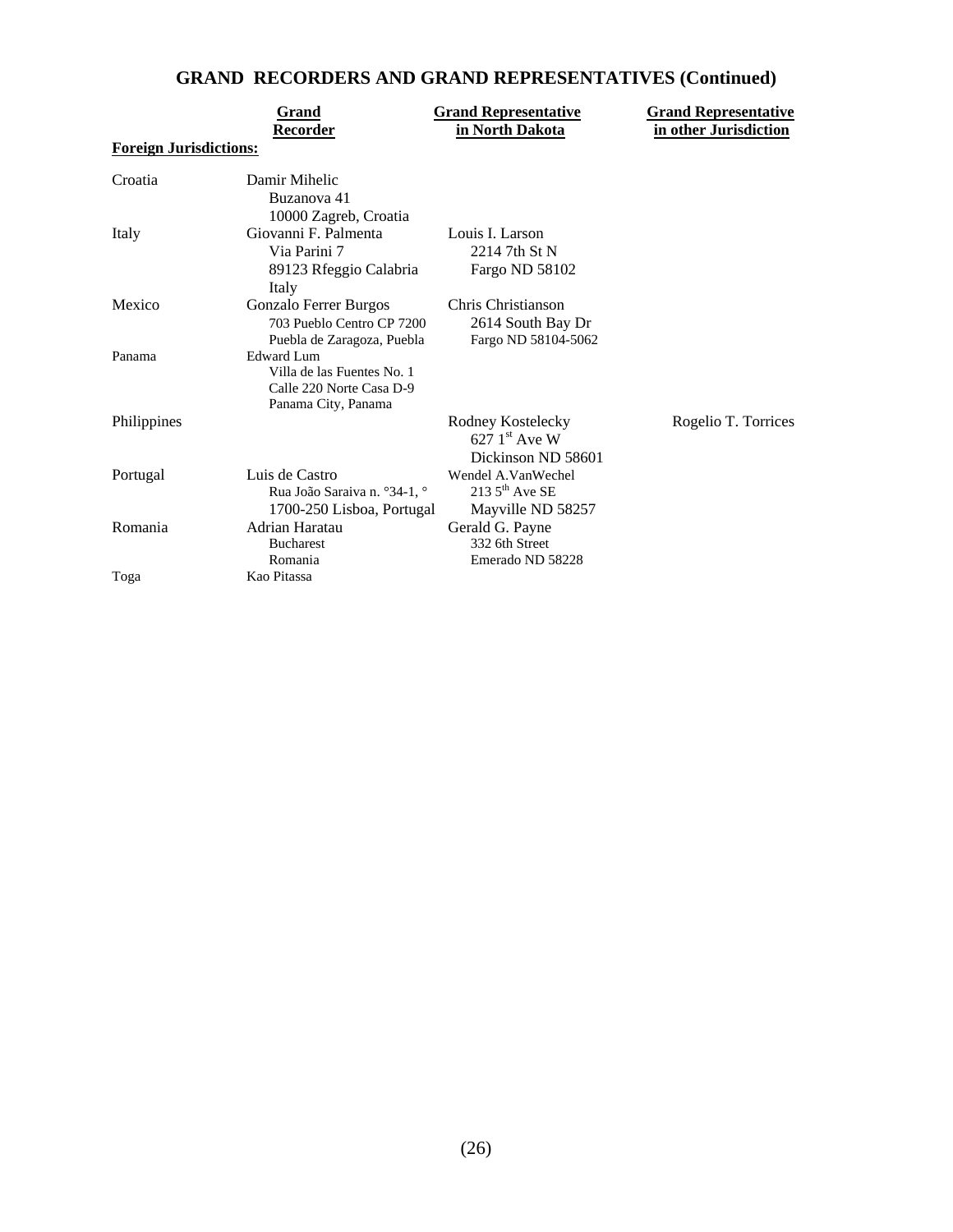# **GRAND RECORDERS AND GRAND REPRESENTATIVES (Continued)**

| <b>Foreign Jurisdictions:</b> | Grand<br>Recorder                                                                                  | <b>Grand Representative</b><br>in North Dakota                 | <b>Grand Representative</b><br>in other Jurisdiction |
|-------------------------------|----------------------------------------------------------------------------------------------------|----------------------------------------------------------------|------------------------------------------------------|
|                               |                                                                                                    |                                                                |                                                      |
| Croatia                       | Damir Mihelic<br>Buzanova 41<br>10000 Zagreb, Croatia                                              |                                                                |                                                      |
| Italy                         | Giovanni F. Palmenta<br>Via Parini 7<br>89123 Rfeggio Calabria<br>Italy                            | Louis I. Larson<br>2214 7th St N<br>Fargo ND 58102             |                                                      |
| Mexico                        | Gonzalo Ferrer Burgos<br>703 Pueblo Centro CP 7200<br>Puebla de Zaragoza, Puebla                   | Chris Christianson<br>2614 South Bay Dr<br>Fargo ND 58104-5062 |                                                      |
| Panama                        | <b>Edward Lum</b><br>Villa de las Fuentes No. 1<br>Calle 220 Norte Casa D-9<br>Panama City, Panama |                                                                |                                                      |
| Philippines                   |                                                                                                    | Rodney Kostelecky<br>627 $1st$ Ave W<br>Dickinson ND 58601     | Rogelio T. Torrices                                  |
| Portugal                      | Luis de Castro<br>Rua João Saraiva n. °34-1, °<br>1700-250 Lisboa, Portugal                        | Wendel A.VanWechel<br>213 $5th$ Ave SE<br>Mayville ND 58257    |                                                      |
| Romania                       | Adrian Haratau<br><b>Bucharest</b><br>Romania                                                      | Gerald G. Payne<br>332 6th Street<br>Emerado ND 58228          |                                                      |
| Toga                          | Kao Pitassa                                                                                        |                                                                |                                                      |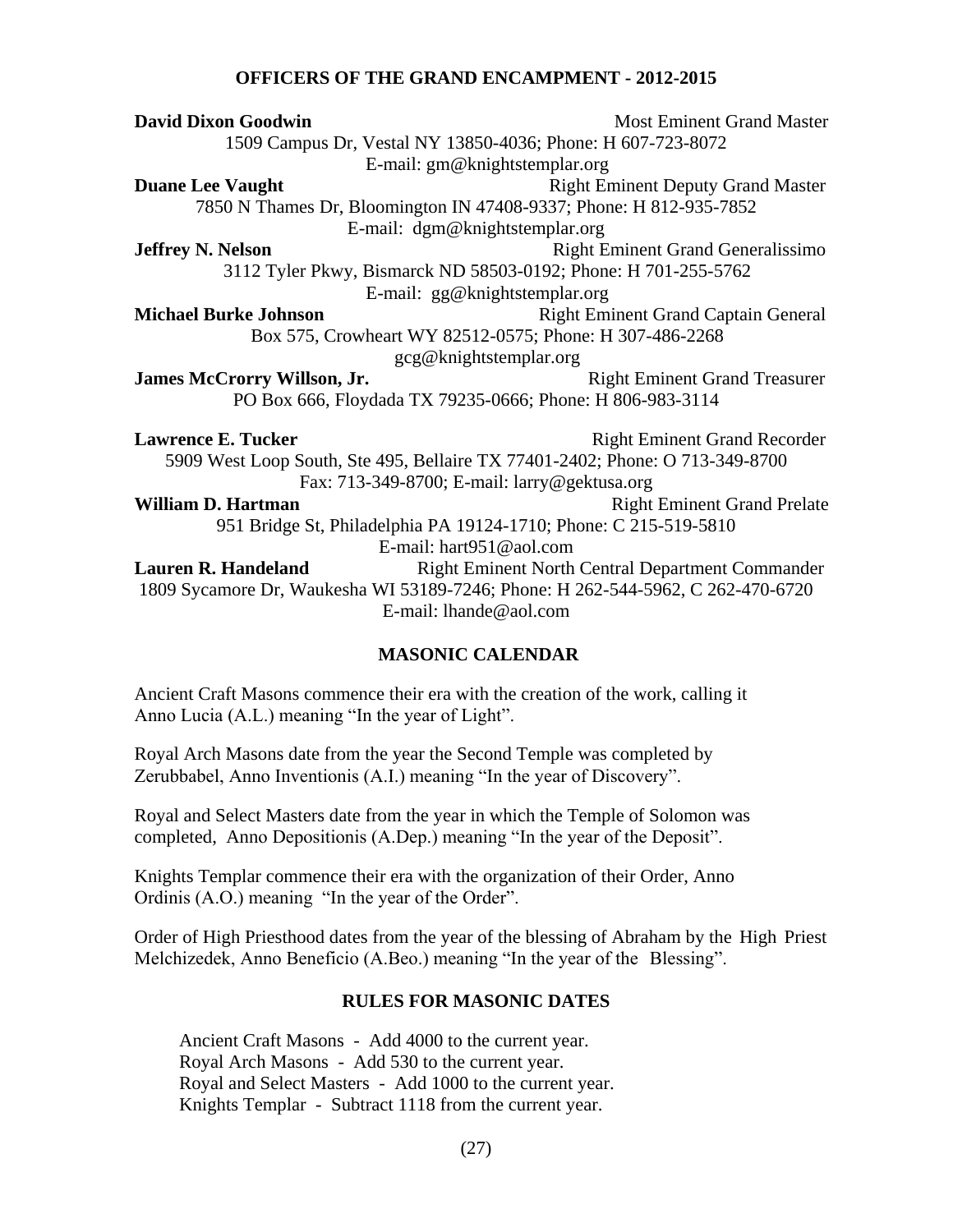## **OFFICERS OF THE GRAND ENCAMPMENT - 2012-2015**

| <b>David Dixon Goodwin</b>                                                      | <b>Most Eminent Grand Master</b>                        |  |  |
|---------------------------------------------------------------------------------|---------------------------------------------------------|--|--|
| 1509 Campus Dr, Vestal NY 13850-4036; Phone: H 607-723-8072                     |                                                         |  |  |
| E-mail: gm@knightstemplar.org                                                   |                                                         |  |  |
| <b>Duane Lee Vaught</b>                                                         | <b>Right Eminent Deputy Grand Master</b>                |  |  |
| 7850 N Thames Dr, Bloomington IN 47408-9337; Phone: H 812-935-7852              |                                                         |  |  |
| E-mail: dgm@knightstemplar.org                                                  |                                                         |  |  |
| <b>Jeffrey N. Nelson</b>                                                        | <b>Right Eminent Grand Generalissimo</b>                |  |  |
| 3112 Tyler Pkwy, Bismarck ND 58503-0192; Phone: H 701-255-5762                  |                                                         |  |  |
| E-mail: gg@knightstemplar.org                                                   |                                                         |  |  |
| <b>Michael Burke Johnson</b>                                                    | <b>Right Eminent Grand Captain General</b>              |  |  |
| Box 575, Crowheart WY 82512-0575; Phone: H 307-486-2268                         |                                                         |  |  |
| gcg@knightstemplar.org                                                          |                                                         |  |  |
| <b>James McCrorry Willson, Jr.</b><br><b>Right Eminent Grand Treasurer</b>      |                                                         |  |  |
| PO Box 666, Floydada TX 79235-0666; Phone: H 806-983-3114                       |                                                         |  |  |
|                                                                                 |                                                         |  |  |
| <b>Lawrence E. Tucker</b>                                                       | <b>Right Eminent Grand Recorder</b>                     |  |  |
| 5909 West Loop South, Ste 495, Bellaire TX 77401-2402; Phone: O 713-349-8700    |                                                         |  |  |
| Fax: 713-349-8700; E-mail: larry@gektusa.org                                    |                                                         |  |  |
| William D. Hartman                                                              | <b>Right Eminent Grand Prelate</b>                      |  |  |
| 951 Bridge St, Philadelphia PA 19124-1710; Phone: C 215-519-5810                |                                                         |  |  |
| E-mail: hart951@aol.com                                                         |                                                         |  |  |
| <b>Lauren R. Handeland</b>                                                      | <b>Right Eminent North Central Department Commander</b> |  |  |
| 1809 Sycamore Dr, Waukesha WI 53189-7246; Phone: H 262-544-5962, C 262-470-6720 |                                                         |  |  |
| E-mail: lhande@aol.com                                                          |                                                         |  |  |
|                                                                                 |                                                         |  |  |
|                                                                                 |                                                         |  |  |

## **MASONIC CALENDAR**

Ancient Craft Masons commence their era with the creation of the work, calling it Anno Lucia (A.L.) meaning "In the year of Light".

Royal Arch Masons date from the year the Second Temple was completed by Zerubbabel, Anno Inventionis (A.I.) meaning "In the year of Discovery".

Royal and Select Masters date from the year in which the Temple of Solomon was completed, Anno Depositionis (A.Dep.) meaning "In the year of the Deposit".

Knights Templar commence their era with the organization of their Order, Anno Ordinis (A.O.) meaning "In the year of the Order".

Order of High Priesthood dates from the year of the blessing of Abraham by the High Priest Melchizedek, Anno Beneficio (A.Beo.) meaning "In the year of the Blessing".

## **RULES FOR MASONIC DATES**

Ancient Craft Masons - Add 4000 to the current year. Royal Arch Masons - Add 530 to the current year. Royal and Select Masters - Add 1000 to the current year. Knights Templar - Subtract 1118 from the current year.